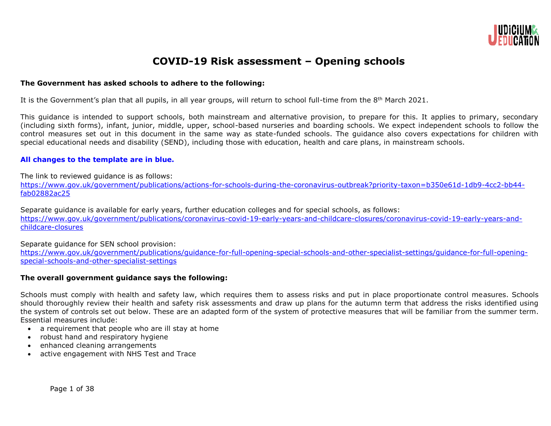

# **COVID-19 Risk assessment – Opening schools**

# **The Government has asked schools to adhere to the following:**

It is the Government's plan that all pupils, in all year groups, will return to school full-time from the 8<sup>th</sup> March 2021.

This guidance is intended to support schools, both mainstream and alternative provision, to prepare for this. It applies to primary, secondary (including sixth forms), infant, junior, middle, upper, school-based nurseries and boarding schools. We expect independent schools to follow the control measures set out in this document in the same way as state-funded schools. The guidance also covers expectations for children with special educational needs and disability (SEND), including those with education, health and care plans, in mainstream schools.

# **All changes to the template are in blue.**

The link to reviewed guidance is as follows:

[https://www.gov.uk/government/publications/actions-for-schools-during-the-coronavirus-outbreak?priority-taxon=b350e61d-1db9-4cc2-bb44](https://www.gov.uk/government/publications/actions-for-schools-during-the-coronavirus-outbreak?priority-taxon=b350e61d-1db9-4cc2-bb44-fab02882ac25) [fab02882ac25](https://www.gov.uk/government/publications/actions-for-schools-during-the-coronavirus-outbreak?priority-taxon=b350e61d-1db9-4cc2-bb44-fab02882ac25)

Separate guidance is available for early years, further education colleges and for special schools, as follows:

[https://www.gov.uk/government/publications/coronavirus-covid-19-early-years-and-childcare-closures/coronavirus-covid-19-early-years-and](https://www.gov.uk/government/publications/coronavirus-covid-19-early-years-and-childcare-closures/coronavirus-covid-19-early-years-and-childcare-closures)[childcare-closures](https://www.gov.uk/government/publications/coronavirus-covid-19-early-years-and-childcare-closures/coronavirus-covid-19-early-years-and-childcare-closures)

Separate guidance for SEN school provision:

[https://www.gov.uk/government/publications/guidance-for-full-opening-special-schools-and-other-specialist-settings/guidance-for-full-opening](https://www.gov.uk/government/publications/guidance-for-full-opening-special-schools-and-other-specialist-settings/guidance-for-full-opening-special-schools-and-other-specialist-settings)[special-schools-and-other-specialist-settings](https://www.gov.uk/government/publications/guidance-for-full-opening-special-schools-and-other-specialist-settings/guidance-for-full-opening-special-schools-and-other-specialist-settings)

#### **The overall government guidance says the following:**

Schools must comply with health and safety law, which requires them to assess risks and put in place proportionate control measures. Schools should thoroughly review their health and safety risk assessments and draw up plans for the autumn term that address the risks identified using the system of controls set out below. These are an adapted form of the system of protective measures that will be familiar from the summer term. Essential measures include:

- a requirement that people who are ill stay at home
- robust hand and respiratory hygiene
- enhanced cleaning arrangements
- active engagement with NHS Test and Trace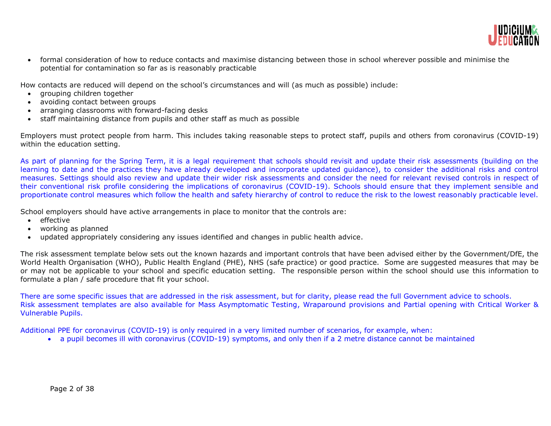

 formal consideration of how to reduce contacts and maximise distancing between those in school wherever possible and minimise the potential for contamination so far as is reasonably practicable

How contacts are reduced will depend on the school's circumstances and will (as much as possible) include:

- arouping children together
- avoiding contact between groups
- arranging classrooms with forward-facing desks
- staff maintaining distance from pupils and other staff as much as possible

Employers must protect people from harm. This includes taking reasonable steps to protect staff, pupils and others from coronavirus (COVID-19) within the education setting.

As part of planning for the Spring Term, it is a legal requirement that schools should revisit and update their risk assessments (building on the learning to date and the practices they have already developed and incorporate updated guidance), to consider the additional risks and control measures. Settings should also review and update their wider risk assessments and consider the need for relevant revised controls in respect of their conventional risk profile considering the implications of coronavirus (COVID-19). Schools should ensure that they implement sensible and proportionate control measures which follow the health and safety hierarchy of control to reduce the risk to the lowest reasonably practicable level.

School employers should have active arrangements in place to monitor that the controls are:

- effective
- working as planned
- updated appropriately considering any issues identified and changes in public health advice.

The risk assessment template below sets out the known hazards and important controls that have been advised either by the Government/DfE, the World Health Organisation (WHO), Public Health England (PHE), NHS (safe practice) or good practice. Some are suggested measures that may be or may not be applicable to your school and specific education setting. The responsible person within the school should use this information to formulate a plan / safe procedure that fit your school.

There are some specific issues that are addressed in the risk assessment, but for clarity, please read the full Government advice to schools. Risk assessment templates are also available for Mass Asymptomatic Testing, Wraparound provisions and Partial opening with Critical Worker & Vulnerable Pupils.

Additional PPE for coronavirus (COVID-19) is only required in a very limited number of scenarios, for example, when:

a pupil becomes ill with coronavirus (COVID-19) symptoms, and only then if a 2 metre distance cannot be maintained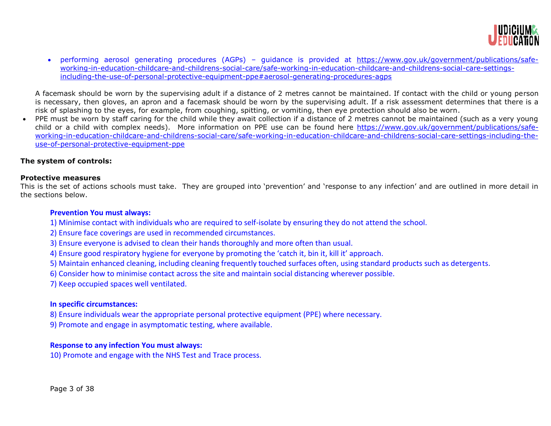

 performing aerosol generating procedures (AGPs) – guidance is provided at [https://www.gov.uk/government/publications/safe](https://www.gov.uk/government/publications/safe-working-in-education-childcare-and-childrens-social-care/safe-working-in-education-childcare-and-childrens-social-care-settings-including-the-use-of-personal-protective-equipment-ppe#aerosol-generating-procedures-agps)[working-in-education-childcare-and-childrens-social-care/safe-working-in-education-childcare-and-childrens-social-care-settings](https://www.gov.uk/government/publications/safe-working-in-education-childcare-and-childrens-social-care/safe-working-in-education-childcare-and-childrens-social-care-settings-including-the-use-of-personal-protective-equipment-ppe#aerosol-generating-procedures-agps)[including-the-use-of-personal-protective-equipment-ppe#aerosol-generating-procedures-agps](https://www.gov.uk/government/publications/safe-working-in-education-childcare-and-childrens-social-care/safe-working-in-education-childcare-and-childrens-social-care-settings-including-the-use-of-personal-protective-equipment-ppe#aerosol-generating-procedures-agps)

A facemask should be worn by the supervising adult if a distance of 2 metres cannot be maintained. If contact with the child or young person is necessary, then gloves, an apron and a facemask should be worn by the supervising adult. If a risk assessment determines that there is a risk of splashing to the eyes, for example, from coughing, spitting, or vomiting, then eye protection should also be worn.

PPE must be worn by staff caring for the child while they await collection if a distance of 2 metres cannot be maintained (such as a very young child or a child with complex needs). More information on PPE use can be found here [https://www.gov.uk/government/publications/safe](https://www.gov.uk/government/publications/safe-working-in-education-childcare-and-childrens-social-care/safe-working-in-education-childcare-and-childrens-social-care-settings-including-the-use-of-personal-protective-equipment-ppe)[working-in-education-childcare-and-childrens-social-care/safe-working-in-education-childcare-and-childrens-social-care-settings-including-the](https://www.gov.uk/government/publications/safe-working-in-education-childcare-and-childrens-social-care/safe-working-in-education-childcare-and-childrens-social-care-settings-including-the-use-of-personal-protective-equipment-ppe)[use-of-personal-protective-equipment-ppe](https://www.gov.uk/government/publications/safe-working-in-education-childcare-and-childrens-social-care/safe-working-in-education-childcare-and-childrens-social-care-settings-including-the-use-of-personal-protective-equipment-ppe)

# **The system of controls:**

# **Protective measures**

This is the set of actions schools must take. They are grouped into 'prevention' and 'response to any infection' and are outlined in more detail in the sections below.

# **Prevention You must always:**

- 1) Minimise contact with individuals who are required to self-isolate by ensuring they do not attend the school.
- 2) Ensure face coverings are used in recommended circumstances.
- 3) Ensure everyone is advised to clean their hands thoroughly and more often than usual.
- 4) Ensure good respiratory hygiene for everyone by promoting the 'catch it, bin it, kill it' approach.
- 5) Maintain enhanced cleaning, including cleaning frequently touched surfaces often, using standard products such as detergents.
- 6) Consider how to minimise contact across the site and maintain social distancing wherever possible.
- 7) Keep occupied spaces well ventilated.

# **In specific circumstances:**

- 8) Ensure individuals wear the appropriate personal protective equipment (PPE) where necessary.
- 9) Promote and engage in asymptomatic testing, where available.

# **Response to any infection You must always:**

10) Promote and engage with the NHS Test and Trace process.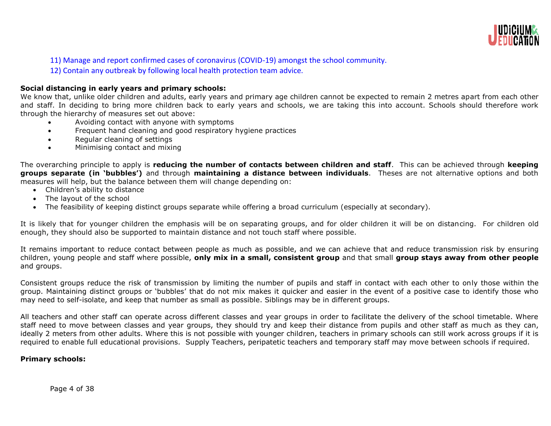

11) Manage and report confirmed cases of coronavirus (COVID-19) amongst the school community.

12) Contain any outbreak by following local health protection team advice.

# **Social distancing in early years and primary schools:**

We know that, unlike older children and adults, early years and primary age children cannot be expected to remain 2 metres apart from each other and staff. In deciding to bring more children back to early years and schools, we are taking this into account. Schools should therefore work through the hierarchy of measures set out above:

- Avoiding contact with anyone with symptoms
- Frequent hand cleaning and good respiratory hygiene practices
- Regular cleaning of settings
- Minimising contact and mixing

The overarching principle to apply is **reducing the number of contacts between children and staff**. This can be achieved through **keeping groups separate (in 'bubbles')** and through **maintaining a distance between individuals**. Theses are not alternative options and both measures will help, but the balance between them will change depending on:

- Children's ability to distance
- The layout of the school
- The feasibility of keeping distinct groups separate while offering a broad curriculum (especially at secondary).

It is likely that for younger children the emphasis will be on separating groups, and for older children it will be on distancing. For children old enough, they should also be supported to maintain distance and not touch staff where possible.

It remains important to reduce contact between people as much as possible, and we can achieve that and reduce transmission risk by ensuring children, young people and staff where possible, **only mix in a small, consistent group** and that small **group stays away from other people** and groups.

Consistent groups reduce the risk of transmission by limiting the number of pupils and staff in contact with each other to only those within the group. Maintaining distinct groups or 'bubbles' that do not mix makes it quicker and easier in the event of a positive case to identify those who may need to self-isolate, and keep that number as small as possible. Siblings may be in different groups.

All teachers and other staff can operate across different classes and year groups in order to facilitate the delivery of the school timetable. Where staff need to move between classes and year groups, they should try and keep their distance from pupils and other staff as much as they can, ideally 2 meters from other adults. Where this is not possible with younger children, teachers in primary schools can still work across groups if it is required to enable full educational provisions. Supply Teachers, peripatetic teachers and temporary staff may move between schools if required.

# **Primary schools:**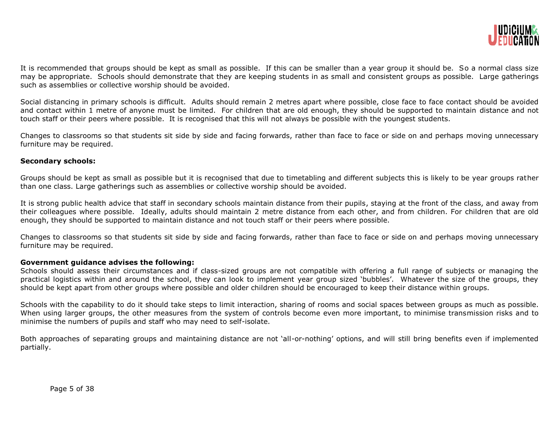

It is recommended that groups should be kept as small as possible. If this can be smaller than a year group it should be. So a normal class size may be appropriate. Schools should demonstrate that they are keeping students in as small and consistent groups as possible. Large gatherings such as assemblies or collective worship should be avoided.

Social distancing in primary schools is difficult. Adults should remain 2 metres apart where possible, close face to face contact should be avoided and contact within 1 metre of anyone must be limited. For children that are old enough, they should be supported to maintain distance and not touch staff or their peers where possible. It is recognised that this will not always be possible with the youngest students.

Changes to classrooms so that students sit side by side and facing forwards, rather than face to face or side on and perhaps moving unnecessary furniture may be required.

# **Secondary schools:**

Groups should be kept as small as possible but it is recognised that due to timetabling and different subjects this is likely to be year groups rather than one class. Large gatherings such as assemblies or collective worship should be avoided.

It is strong public health advice that staff in secondary schools maintain distance from their pupils, staying at the front of the class, and away from their colleagues where possible. Ideally, adults should maintain 2 metre distance from each other, and from children. For children that are old enough, they should be supported to maintain distance and not touch staff or their peers where possible.

Changes to classrooms so that students sit side by side and facing forwards, rather than face to face or side on and perhaps moving unnecessary furniture may be required.

#### **Government guidance advises the following:**

Schools should assess their circumstances and if class-sized groups are not compatible with offering a full range of subjects or managing the practical logistics within and around the school, they can look to implement year group sized 'bubbles'. Whatever the size of the groups, they should be kept apart from other groups where possible and older children should be encouraged to keep their distance within groups.

Schools with the capability to do it should take steps to limit interaction, sharing of rooms and social spaces between groups as much as possible. When using larger groups, the other measures from the system of controls become even more important, to minimise transmission risks and to minimise the numbers of pupils and staff who may need to self-isolate.

Both approaches of separating groups and maintaining distance are not 'all-or-nothing' options, and will still bring benefits even if implemented partially.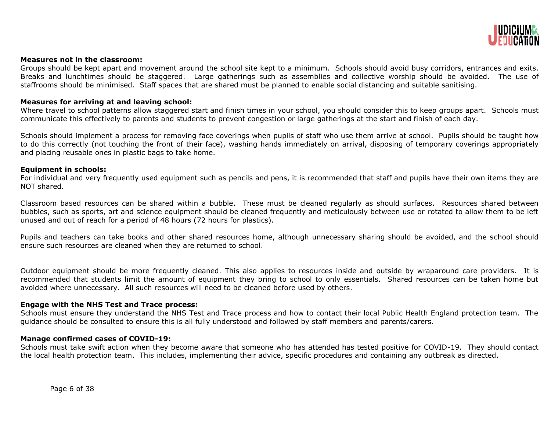

#### **Measures not in the classroom:**

Groups should be kept apart and movement around the school site kept to a minimum. Schools should avoid busy corridors, entrances and exits. Breaks and lunchtimes should be staggered. Large gatherings such as assemblies and collective worship should be avoided. The use of staffrooms should be minimised. Staff spaces that are shared must be planned to enable social distancing and suitable sanitising.

#### **Measures for arriving at and leaving school:**

Where travel to school patterns allow staggered start and finish times in your school, you should consider this to keep groups apart. Schools must communicate this effectively to parents and students to prevent congestion or large gatherings at the start and finish of each day.

Schools should implement a process for removing face coverings when pupils of staff who use them arrive at school. Pupils should be taught how to do this correctly (not touching the front of their face), washing hands immediately on arrival, disposing of temporary coverings appropriately and placing reusable ones in plastic bags to take home.

#### **Equipment in schools:**

For individual and very frequently used equipment such as pencils and pens, it is recommended that staff and pupils have their own items they are NOT shared.

Classroom based resources can be shared within a bubble. These must be cleaned regularly as should surfaces. Resources shared between bubbles, such as sports, art and science equipment should be cleaned frequently and meticulously between use or rotated to allow them to be left unused and out of reach for a period of 48 hours (72 hours for plastics).

Pupils and teachers can take books and other shared resources home, although unnecessary sharing should be avoided, and the school should ensure such resources are cleaned when they are returned to school.

Outdoor equipment should be more frequently cleaned. This also applies to resources inside and outside by wraparound care providers. It is recommended that students limit the amount of equipment they bring to school to only essentials. Shared resources can be taken home but avoided where unnecessary. All such resources will need to be cleaned before used by others.

# **Engage with the NHS Test and Trace process:**

Schools must ensure they understand the NHS Test and Trace process and how to contact their local Public Health England protection team. The guidance should be consulted to ensure this is all fully understood and followed by staff members and parents/carers.

#### **Manage confirmed cases of COVID-19:**

Schools must take swift action when they become aware that someone who has attended has tested positive for COVID-19. They should contact the local health protection team. This includes, implementing their advice, specific procedures and containing any outbreak as directed.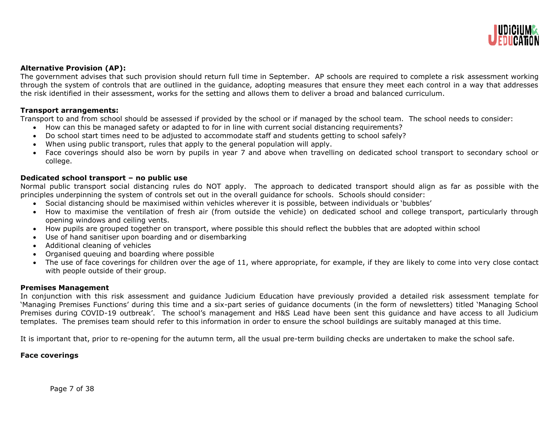

# **Alternative Provision (AP):**

The government advises that such provision should return full time in September. AP schools are required to complete a risk assessment working through the system of controls that are outlined in the guidance, adopting measures that ensure they meet each control in a way that addresses the risk identified in their assessment, works for the setting and allows them to deliver a broad and balanced curriculum.

# **Transport arrangements:**

Transport to and from school should be assessed if provided by the school or if managed by the school team. The school needs to consider:

- How can this be managed safety or adapted to for in line with current social distancing requirements?
- Do school start times need to be adjusted to accommodate staff and students getting to school safely?
- When using public transport, rules that apply to the general population will apply.
- Face coverings should also be worn by pupils in year 7 and above when travelling on dedicated school transport to secondary school or college.

# **Dedicated school transport – no public use**

Normal public transport social distancing rules do NOT apply. The approach to dedicated transport should align as far as possible with the principles underpinning the system of controls set out in the overall guidance for schools. Schools should consider:

- Social distancing should be maximised within vehicles wherever it is possible, between individuals or 'bubbles'
- How to maximise the ventilation of fresh air (from outside the vehicle) on dedicated school and college transport, particularly through opening windows and ceiling vents.
- How pupils are grouped together on transport, where possible this should reflect the bubbles that are adopted within school
- Use of hand sanitiser upon boarding and or disembarking
- Additional cleaning of vehicles
- Organised queuing and boarding where possible
- The use of face coverings for children over the age of 11, where appropriate, for example, if they are likely to come into very close contact with people outside of their group.

#### **Premises Management**

In conjunction with this risk assessment and guidance Judicium Education have previously provided a detailed risk assessment template for 'Managing Premises Functions' during this time and a six-part series of guidance documents (in the form of newsletters) titled 'Managing School Premises during COVID-19 outbreak'. The school's management and H&S Lead have been sent this guidance and have access to all Judicium templates. The premises team should refer to this information in order to ensure the school buildings are suitably managed at this time.

It is important that, prior to re-opening for the autumn term, all the usual pre-term building checks are undertaken to make the school safe.

# **Face coverings**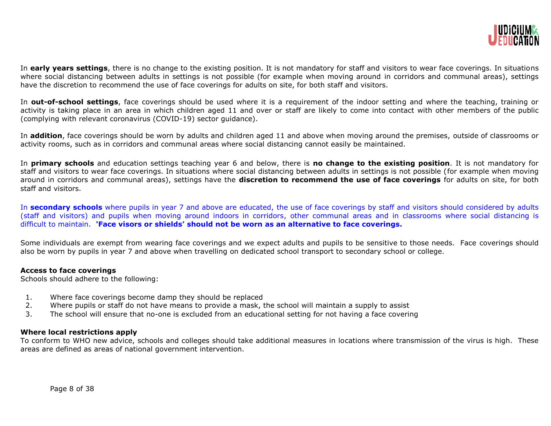

In **early years settings**, there is no change to the existing position. It is not mandatory for staff and visitors to wear face coverings. In situations where social distancing between adults in settings is not possible (for example when moving around in corridors and communal areas), settings have the discretion to recommend the use of face coverings for adults on site, for both staff and visitors.

In **out-of-school settings**, face coverings should be used where it is a requirement of the indoor setting and where the teaching, training or activity is taking place in an area in which children aged 11 and over or staff are likely to come into contact with other members of the public (complying with relevant coronavirus (COVID-19) sector guidance).

In **addition**, face coverings should be worn by adults and children aged 11 and above when moving around the premises, outside of classrooms or activity rooms, such as in corridors and communal areas where social distancing cannot easily be maintained.

In **primary schools** and education settings teaching year 6 and below, there is **no change to the existing position**. It is not mandatory for staff and visitors to wear face coverings. In situations where social distancing between adults in settings is not possible (for example when moving around in corridors and communal areas), settings have the **discretion to recommend the use of face coverings** for adults on site, for both staff and visitors.

In **secondary schools** where pupils in year 7 and above are educated, the use of face coverings by staff and visitors should considered by adults (staff and visitors) and pupils when moving around indoors in corridors, other communal areas and in classrooms where social distancing is difficult to maintain. **'Face visors or shields' should not be worn as an alternative to face coverings.**

Some individuals are exempt from wearing face coverings and we expect adults and pupils to be sensitive to those needs. Face coverings should also be worn by pupils in year 7 and above when travelling on dedicated school transport to secondary school or college.

# **Access to face coverings**

Schools should adhere to the following:

- 1. Where face coverings become damp they should be replaced
- 2. Where pupils or staff do not have means to provide a mask, the school will maintain a supply to assist
- 3. The school will ensure that no-one is excluded from an educational setting for not having a face covering

#### **Where local restrictions apply**

To conform to WHO new advice, schools and colleges should take additional measures in locations where transmission of the virus is high. These areas are defined as areas of national government intervention.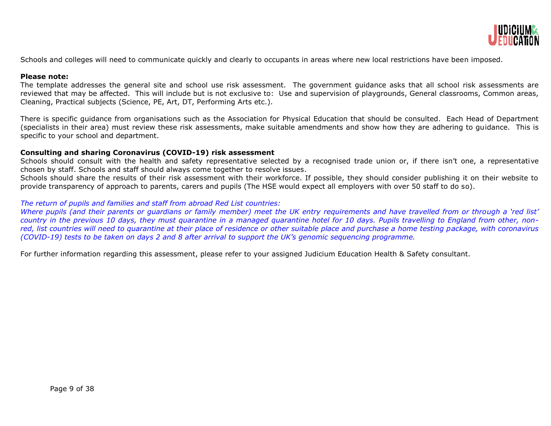

Schools and colleges will need to communicate quickly and clearly to occupants in areas where new local restrictions have been imposed.

#### **Please note:**

The template addresses the general site and school use risk assessment. The government guidance asks that all school risk assessments are reviewed that may be affected. This will include but is not exclusive to: Use and supervision of playgrounds, General classrooms, Common areas, Cleaning, Practical subjects (Science, PE, Art, DT, Performing Arts etc.).

There is specific guidance from organisations such as the Association for Physical Education that should be consulted. Each Head of Department (specialists in their area) must review these risk assessments, make suitable amendments and show how they are adhering to guidance. This is specific to your school and department.

# **Consulting and sharing Coronavirus (COVID-19) risk assessment**

Schools should consult with the health and safety representative selected by a recognised trade union or, if there isn't one, a representative chosen by staff. Schools and staff should always come together to resolve issues.

Schools should share the results of their risk assessment with their workforce. If possible, they should consider publishing it on their website to provide transparency of approach to parents, carers and pupils (The HSE would expect all employers with over 50 staff to do so).

# *The return of pupils and families and staff from abroad Red List countries:*

*Where pupils (and their parents or quardians or family member) meet the UK entry requirements and have travelled from or through a 'red list' country in the previous 10 days, they must quarantine in a managed quarantine hotel for 10 days. Pupils travelling to England from other, nonred, list countries will need to quarantine at their place of residence or other suitable place and purchase a home testing package, with coronavirus (COVID-19) tests to be taken on days 2 and 8 after arrival to support the UK's genomic sequencing programme.*

For further information regarding this assessment, please refer to your assigned Judicium Education Health & Safety consultant.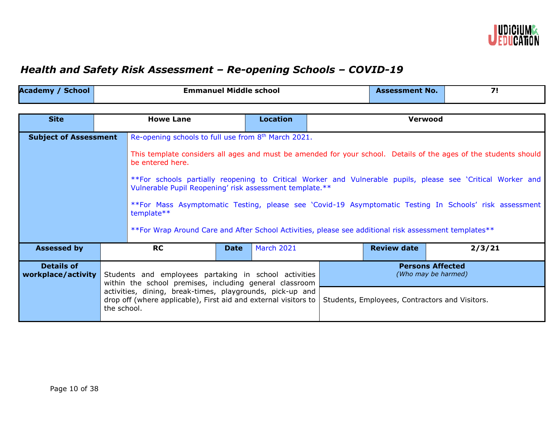

# *Health and Safety Risk Assessment – Re-opening Schools – COVID-19*

| <b>Academy</b><br><b>School</b> | <b>Emmanuel Middle school</b> | Assessment No. |  |
|---------------------------------|-------------------------------|----------------|--|
|                                 |                               |                |  |

| <b>Site</b>                                                                                                                                                                                                                   |             | <b>Howe Lane</b>                                                                                                                                                                                                                                                                                                                                                                  |             | <b>Location</b> |                                                | Verwood            |        |  |
|-------------------------------------------------------------------------------------------------------------------------------------------------------------------------------------------------------------------------------|-------------|-----------------------------------------------------------------------------------------------------------------------------------------------------------------------------------------------------------------------------------------------------------------------------------------------------------------------------------------------------------------------------------|-------------|-----------------|------------------------------------------------|--------------------|--------|--|
| <b>Subject of Assessment</b>                                                                                                                                                                                                  |             | Re-opening schools to full use from 8 <sup>th</sup> March 2021.<br>This template considers all ages and must be amended for your school. Details of the ages of the students should<br>be entered here.<br>**For schools partially reopening to Critical Worker and Vulnerable pupils, please see 'Critical Worker and<br>Vulnerable Pupil Reopening' risk assessment template.** |             |                 |                                                |                    |        |  |
| **For Mass Asymptomatic Testing, please see 'Covid-19 Asymptomatic Testing In Schools' risk assessment<br>template**<br>**For Wrap Around Care and After School Activities, please see additional risk assessment templates** |             |                                                                                                                                                                                                                                                                                                                                                                                   |             |                 |                                                |                    |        |  |
| <b>Assessed by</b>                                                                                                                                                                                                            |             | <b>RC</b>                                                                                                                                                                                                                                                                                                                                                                         | <b>Date</b> | March 2021      |                                                | <b>Review date</b> | 2/3/21 |  |
| <b>Details of</b><br><b>Persons Affected</b><br>(Who may be harmed)<br>workplace/activity<br>Students and employees partaking in school activities<br>within the school premises, including general classroom                 |             |                                                                                                                                                                                                                                                                                                                                                                                   |             |                 |                                                |                    |        |  |
|                                                                                                                                                                                                                               | the school. | activities, dining, break-times, playgrounds, pick-up and<br>drop off (where applicable), First aid and external visitors to                                                                                                                                                                                                                                                      |             |                 | Students, Employees, Contractors and Visitors. |                    |        |  |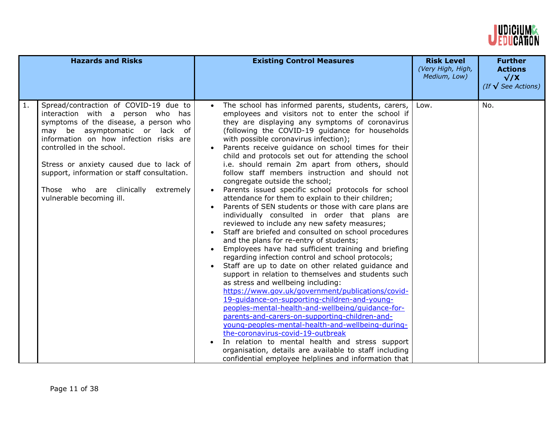

|    | <b>Hazards and Risks</b>                                                                                                                                                                                                                                                                                                                                                                    | <b>Existing Control Measures</b>                                                                                                                                                                                                                                                                                                                                                                                                                                                                                                                                                                                                                                                                                                                                                                                                                                                                                                                                                                                                                                                                                                                                                                                                                                                                                                                                                                                                                                                                                                                                                                                                                           | <b>Risk Level</b><br>(Very High, High,<br>Medium, Low) | <b>Further</b><br><b>Actions</b><br>$\sqrt{X}$<br>(If $\sqrt{\ }$ See Actions) |
|----|---------------------------------------------------------------------------------------------------------------------------------------------------------------------------------------------------------------------------------------------------------------------------------------------------------------------------------------------------------------------------------------------|------------------------------------------------------------------------------------------------------------------------------------------------------------------------------------------------------------------------------------------------------------------------------------------------------------------------------------------------------------------------------------------------------------------------------------------------------------------------------------------------------------------------------------------------------------------------------------------------------------------------------------------------------------------------------------------------------------------------------------------------------------------------------------------------------------------------------------------------------------------------------------------------------------------------------------------------------------------------------------------------------------------------------------------------------------------------------------------------------------------------------------------------------------------------------------------------------------------------------------------------------------------------------------------------------------------------------------------------------------------------------------------------------------------------------------------------------------------------------------------------------------------------------------------------------------------------------------------------------------------------------------------------------------|--------------------------------------------------------|--------------------------------------------------------------------------------|
| 1. | Spread/contraction of COVID-19 due to<br>interaction with a person who has<br>symptoms of the disease, a person who<br>may be asymptomatic or lack of<br>information on how infection risks are<br>controlled in the school.<br>Stress or anxiety caused due to lack of<br>support, information or staff consultation.<br>Those who are clinically<br>extremely<br>vulnerable becoming ill. | The school has informed parents, students, carers,<br>$\bullet$<br>employees and visitors not to enter the school if<br>they are displaying any symptoms of coronavirus<br>(following the COVID-19 guidance for households<br>with possible coronavirus infection);<br>Parents receive guidance on school times for their<br>child and protocols set out for attending the school<br>i.e. should remain 2m apart from others, should<br>follow staff members instruction and should not<br>congregate outside the school;<br>Parents issued specific school protocols for school<br>attendance for them to explain to their children;<br>Parents of SEN students or those with care plans are<br>individually consulted in order that plans are<br>reviewed to include any new safety measures;<br>Staff are briefed and consulted on school procedures<br>and the plans for re-entry of students;<br>Employees have had sufficient training and briefing<br>regarding infection control and school protocols;<br>Staff are up to date on other related guidance and<br>support in relation to themselves and students such<br>as stress and wellbeing including:<br>https://www.gov.uk/government/publications/covid-<br>19-quidance-on-supporting-children-and-young-<br>peoples-mental-health-and-wellbeing/quidance-for-<br>parents-and-carers-on-supporting-children-and-<br>young-peoples-mental-health-and-wellbeing-during-<br>the-coronavirus-covid-19-outbreak<br>In relation to mental health and stress support<br>$\bullet$<br>organisation, details are available to staff including<br>confidential employee helplines and information that | Low.                                                   | No.                                                                            |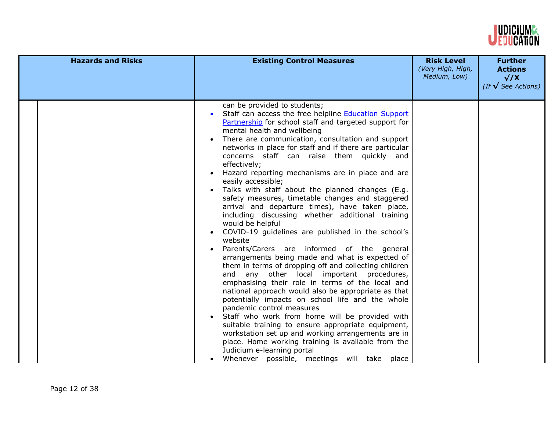

| <b>Hazards and Risks</b> | <b>Existing Control Measures</b>                                                                                                                                                                                                                                                                                                                                                                                                                                                                                                                                                                                                                                                                                                                                                                                                                                                                                                                                                                                                                                                                                                                                                                                                                                                                                                                                                                                                                               | <b>Risk Level</b><br>(Very High, High,<br>Medium, Low) | <b>Further</b><br><b>Actions</b><br>$\sqrt{X}$<br>(If $\sqrt{\ }$ See Actions) |
|--------------------------|----------------------------------------------------------------------------------------------------------------------------------------------------------------------------------------------------------------------------------------------------------------------------------------------------------------------------------------------------------------------------------------------------------------------------------------------------------------------------------------------------------------------------------------------------------------------------------------------------------------------------------------------------------------------------------------------------------------------------------------------------------------------------------------------------------------------------------------------------------------------------------------------------------------------------------------------------------------------------------------------------------------------------------------------------------------------------------------------------------------------------------------------------------------------------------------------------------------------------------------------------------------------------------------------------------------------------------------------------------------------------------------------------------------------------------------------------------------|--------------------------------------------------------|--------------------------------------------------------------------------------|
|                          | can be provided to students;<br>Staff can access the free helpline <b>Education Support</b><br>$\bullet$<br>Partnership for school staff and targeted support for<br>mental health and wellbeing<br>There are communication, consultation and support<br>networks in place for staff and if there are particular<br>concerns staff can raise them quickly and<br>effectively;<br>Hazard reporting mechanisms are in place and are<br>easily accessible;<br>Talks with staff about the planned changes (E.g.<br>safety measures, timetable changes and staggered<br>arrival and departure times), have taken place,<br>including discussing whether additional training<br>would be helpful<br>COVID-19 guidelines are published in the school's<br>website<br>Parents/Carers are informed of the general<br>arrangements being made and what is expected of<br>them in terms of dropping off and collecting children<br>and any other local important procedures,<br>emphasising their role in terms of the local and<br>national approach would also be appropriate as that<br>potentially impacts on school life and the whole<br>pandemic control measures<br>Staff who work from home will be provided with<br>suitable training to ensure appropriate equipment,<br>workstation set up and working arrangements are in<br>place. Home working training is available from the<br>Judicium e-learning portal<br>Whenever possible, meetings will take place |                                                        |                                                                                |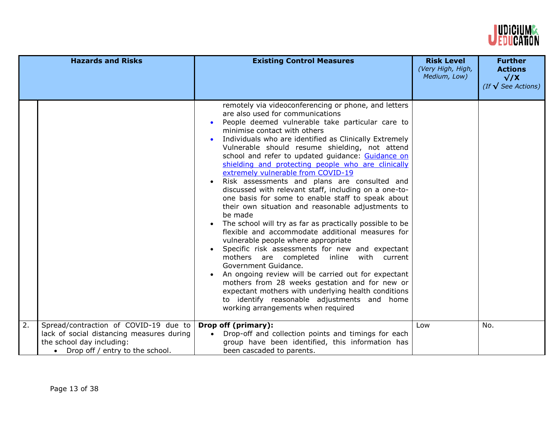

|    | <b>Hazards and Risks</b>                                                                                                                             | <b>Existing Control Measures</b>                                                                                                                                                                                                                                                                                                                                                                                                                                                                                                                                                                                                                                                                                                                                                                                                                                                                                                                                                                                                                                                                                                                                                                                            | <b>Risk Level</b><br>(Very High, High,<br>Medium, Low) | <b>Further</b><br><b>Actions</b><br>$\sqrt{X}$<br>(If $\sqrt{\ }$ See Actions) |
|----|------------------------------------------------------------------------------------------------------------------------------------------------------|-----------------------------------------------------------------------------------------------------------------------------------------------------------------------------------------------------------------------------------------------------------------------------------------------------------------------------------------------------------------------------------------------------------------------------------------------------------------------------------------------------------------------------------------------------------------------------------------------------------------------------------------------------------------------------------------------------------------------------------------------------------------------------------------------------------------------------------------------------------------------------------------------------------------------------------------------------------------------------------------------------------------------------------------------------------------------------------------------------------------------------------------------------------------------------------------------------------------------------|--------------------------------------------------------|--------------------------------------------------------------------------------|
|    |                                                                                                                                                      | remotely via videoconferencing or phone, and letters<br>are also used for communications<br>People deemed vulnerable take particular care to<br>minimise contact with others<br>Individuals who are identified as Clinically Extremely<br>Vulnerable should resume shielding, not attend<br>school and refer to updated guidance: Guidance on<br>shielding and protecting people who are clinically<br>extremely vulnerable from COVID-19<br>Risk assessments and plans are consulted and<br>discussed with relevant staff, including on a one-to-<br>one basis for some to enable staff to speak about<br>their own situation and reasonable adjustments to<br>be made<br>The school will try as far as practically possible to be<br>$\bullet$<br>flexible and accommodate additional measures for<br>vulnerable people where appropriate<br>Specific risk assessments for new and expectant<br>mothers are completed<br>inline with current<br>Government Guidance.<br>An ongoing review will be carried out for expectant<br>mothers from 28 weeks gestation and for new or<br>expectant mothers with underlying health conditions<br>to identify reasonable adjustments and home<br>working arrangements when required |                                                        |                                                                                |
| 2. | Spread/contraction of COVID-19 due to<br>lack of social distancing measures during<br>the school day including:<br>• Drop off / entry to the school. | Drop off (primary):<br>Drop-off and collection points and timings for each<br>$\bullet$<br>group have been identified, this information has<br>been cascaded to parents.                                                                                                                                                                                                                                                                                                                                                                                                                                                                                                                                                                                                                                                                                                                                                                                                                                                                                                                                                                                                                                                    | Low                                                    | No.                                                                            |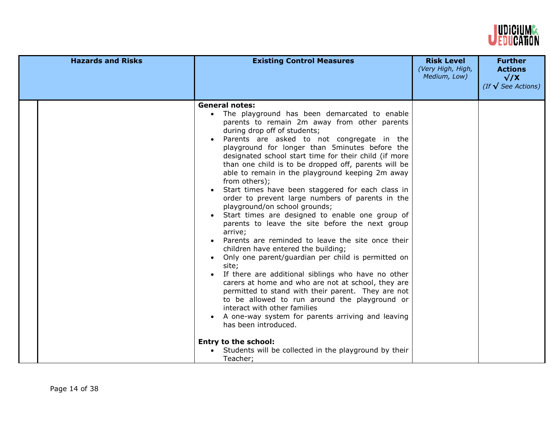

| <b>Hazards and Risks</b> | <b>Existing Control Measures</b>                                                                                                                                                                                                                                                                                                                                                                                                                                                                                                                                                                                                                                                                                                                                                                                                                                                                                                                                                                                                                                                                                                                                                                                                                                                                      | <b>Risk Level</b><br>(Very High, High,<br>Medium, Low) | <b>Further</b><br><b>Actions</b><br>$\sqrt{X}$<br>(If $\sqrt{\ }$ See Actions) |
|--------------------------|-------------------------------------------------------------------------------------------------------------------------------------------------------------------------------------------------------------------------------------------------------------------------------------------------------------------------------------------------------------------------------------------------------------------------------------------------------------------------------------------------------------------------------------------------------------------------------------------------------------------------------------------------------------------------------------------------------------------------------------------------------------------------------------------------------------------------------------------------------------------------------------------------------------------------------------------------------------------------------------------------------------------------------------------------------------------------------------------------------------------------------------------------------------------------------------------------------------------------------------------------------------------------------------------------------|--------------------------------------------------------|--------------------------------------------------------------------------------|
|                          | <b>General notes:</b><br>The playground has been demarcated to enable<br>parents to remain 2m away from other parents<br>during drop off of students;<br>Parents are asked to not congregate in the<br>playground for longer than 5minutes before the<br>designated school start time for their child (if more<br>than one child is to be dropped off, parents will be<br>able to remain in the playground keeping 2m away<br>from others);<br>Start times have been staggered for each class in<br>order to prevent large numbers of parents in the<br>playground/on school grounds;<br>Start times are designed to enable one group of<br>parents to leave the site before the next group<br>arrive;<br>Parents are reminded to leave the site once their<br>children have entered the building;<br>Only one parent/guardian per child is permitted on<br>site;<br>If there are additional siblings who have no other<br>carers at home and who are not at school, they are<br>permitted to stand with their parent. They are not<br>to be allowed to run around the playground or<br>interact with other families<br>A one-way system for parents arriving and leaving<br>has been introduced.<br><b>Entry to the school:</b><br>Students will be collected in the playground by their<br>Teacher; |                                                        |                                                                                |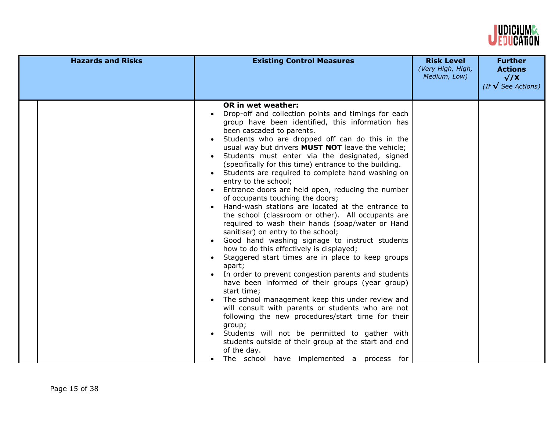

| <b>Hazards and Risks</b> | <b>Existing Control Measures</b>                                                                                                                                                                                                                                                                                                                                                                                                                                                                                                                                                                                                                                                                                                                                                                                                                                                                                                                                                                                                                                                                                                                                                                                                                                                                                                                                                                           | <b>Risk Level</b><br>(Very High, High,<br>Medium, Low) | <b>Further</b><br><b>Actions</b><br>$\sqrt{X}$<br>(If $\sqrt{\ }$ See Actions) |
|--------------------------|------------------------------------------------------------------------------------------------------------------------------------------------------------------------------------------------------------------------------------------------------------------------------------------------------------------------------------------------------------------------------------------------------------------------------------------------------------------------------------------------------------------------------------------------------------------------------------------------------------------------------------------------------------------------------------------------------------------------------------------------------------------------------------------------------------------------------------------------------------------------------------------------------------------------------------------------------------------------------------------------------------------------------------------------------------------------------------------------------------------------------------------------------------------------------------------------------------------------------------------------------------------------------------------------------------------------------------------------------------------------------------------------------------|--------------------------------------------------------|--------------------------------------------------------------------------------|
|                          | <b>OR in wet weather:</b><br>Drop-off and collection points and timings for each<br>group have been identified, this information has<br>been cascaded to parents.<br>Students who are dropped off can do this in the<br>usual way but drivers <b>MUST NOT</b> leave the vehicle;<br>Students must enter via the designated, signed<br>(specifically for this time) entrance to the building.<br>Students are required to complete hand washing on<br>entry to the school;<br>Entrance doors are held open, reducing the number<br>of occupants touching the doors;<br>Hand-wash stations are located at the entrance to<br>the school (classroom or other). All occupants are<br>required to wash their hands (soap/water or Hand<br>sanitiser) on entry to the school;<br>Good hand washing signage to instruct students<br>how to do this effectively is displayed;<br>Staggered start times are in place to keep groups<br>apart;<br>In order to prevent congestion parents and students<br>have been informed of their groups (year group)<br>start time;<br>The school management keep this under review and<br>will consult with parents or students who are not<br>following the new procedures/start time for their<br>group;<br>Students will not be permitted to gather with<br>students outside of their group at the start and end<br>of the day.<br>The school have implemented a process for |                                                        |                                                                                |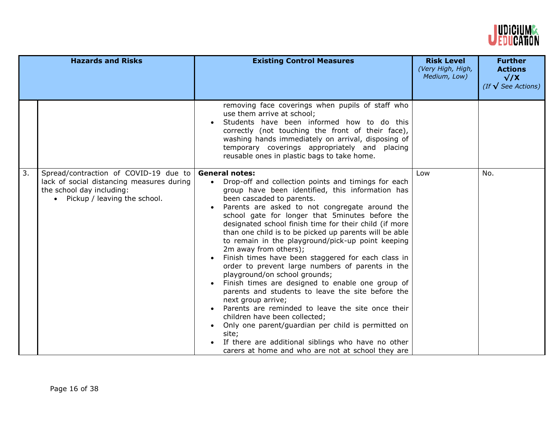

|    | <b>Hazards and Risks</b>                                                                                                                          | <b>Existing Control Measures</b>                                                                                                                                                                                                                                                                                                                                                                                                                                                                                                                                                                                                                                                                                                                                                                                                                                                                                                                                                                                                                      | <b>Risk Level</b><br>(Very High, High,<br>Medium, Low) | <b>Further</b><br><b>Actions</b><br>$\sqrt{X}$<br>(If $\sqrt{\ }$ See Actions) |
|----|---------------------------------------------------------------------------------------------------------------------------------------------------|-------------------------------------------------------------------------------------------------------------------------------------------------------------------------------------------------------------------------------------------------------------------------------------------------------------------------------------------------------------------------------------------------------------------------------------------------------------------------------------------------------------------------------------------------------------------------------------------------------------------------------------------------------------------------------------------------------------------------------------------------------------------------------------------------------------------------------------------------------------------------------------------------------------------------------------------------------------------------------------------------------------------------------------------------------|--------------------------------------------------------|--------------------------------------------------------------------------------|
|    |                                                                                                                                                   | removing face coverings when pupils of staff who<br>use them arrive at school;<br>Students have been informed how to do this<br>correctly (not touching the front of their face),<br>washing hands immediately on arrival, disposing of<br>temporary coverings appropriately and placing<br>reusable ones in plastic bags to take home.                                                                                                                                                                                                                                                                                                                                                                                                                                                                                                                                                                                                                                                                                                               |                                                        |                                                                                |
| 3. | Spread/contraction of COVID-19 due to<br>lack of social distancing measures during<br>the school day including:<br>• Pickup / leaving the school. | <b>General notes:</b><br>Drop-off and collection points and timings for each<br>$\bullet$<br>group have been identified, this information has<br>been cascaded to parents.<br>Parents are asked to not congregate around the<br>school gate for longer that 5minutes before the<br>designated school finish time for their child (if more<br>than one child is to be picked up parents will be able<br>to remain in the playground/pick-up point keeping<br>2m away from others);<br>Finish times have been staggered for each class in<br>order to prevent large numbers of parents in the<br>playground/on school grounds;<br>Finish times are designed to enable one group of<br>parents and students to leave the site before the<br>next group arrive;<br>Parents are reminded to leave the site once their<br>$\bullet$<br>children have been collected;<br>Only one parent/guardian per child is permitted on<br>$\bullet$<br>site;<br>If there are additional siblings who have no other<br>carers at home and who are not at school they are | Low                                                    | No.                                                                            |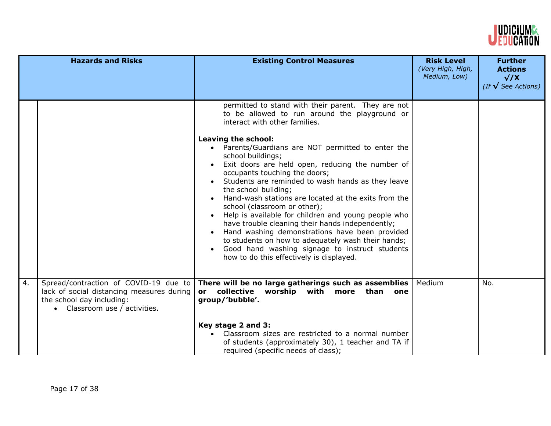

|    | <b>Hazards and Risks</b>                                                                                                                         | <b>Existing Control Measures</b>                                                                                                                                                                                                                                                                                                                                                                                                                                                                                                                                                                                                                                                                                                                                                                                | <b>Risk Level</b><br>(Very High, High,<br>Medium, Low) | <b>Further</b><br><b>Actions</b><br>$\sqrt{X}$<br>(If $\sqrt{\ }$ See Actions) |
|----|--------------------------------------------------------------------------------------------------------------------------------------------------|-----------------------------------------------------------------------------------------------------------------------------------------------------------------------------------------------------------------------------------------------------------------------------------------------------------------------------------------------------------------------------------------------------------------------------------------------------------------------------------------------------------------------------------------------------------------------------------------------------------------------------------------------------------------------------------------------------------------------------------------------------------------------------------------------------------------|--------------------------------------------------------|--------------------------------------------------------------------------------|
|    |                                                                                                                                                  | permitted to stand with their parent. They are not<br>to be allowed to run around the playground or<br>interact with other families.<br>Leaving the school:<br>Parents/Guardians are NOT permitted to enter the<br>school buildings;<br>Exit doors are held open, reducing the number of<br>occupants touching the doors;<br>Students are reminded to wash hands as they leave<br>the school building;<br>Hand-wash stations are located at the exits from the<br>school (classroom or other);<br>Help is available for children and young people who<br>have trouble cleaning their hands independently;<br>Hand washing demonstrations have been provided<br>to students on how to adequately wash their hands;<br>Good hand washing signage to instruct students<br>how to do this effectively is displayed. |                                                        |                                                                                |
| 4. | Spread/contraction of COVID-19 due to<br>lack of social distancing measures during<br>the school day including:<br>• Classroom use / activities. | There will be no large gatherings such as assemblies<br>collective worship with more than<br>one<br>or<br>group/'bubble'.<br>Key stage 2 and 3:<br>Classroom sizes are restricted to a normal number<br>of students (approximately 30), 1 teacher and TA if<br>required (specific needs of class);                                                                                                                                                                                                                                                                                                                                                                                                                                                                                                              | Medium                                                 | No.                                                                            |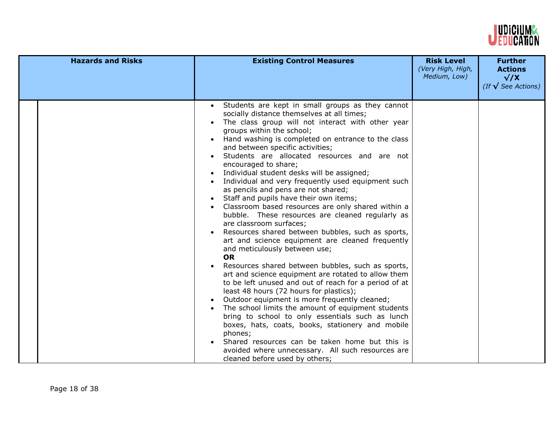

| <b>Hazards and Risks</b> | <b>Existing Control Measures</b>                                                                                                                                                                                                                                                                                                                                                                                                                                                                                                                                                                                                                                                                                                                                                                                                                                                                                                                                                                                                                                                                                                                                                                                                                                                                                                                                                                                                    | <b>Risk Level</b><br>(Very High, High,<br>Medium, Low) | <b>Further</b><br><b>Actions</b><br>$\sqrt{X}$<br>(If $\sqrt{\ }$ See Actions) |
|--------------------------|-------------------------------------------------------------------------------------------------------------------------------------------------------------------------------------------------------------------------------------------------------------------------------------------------------------------------------------------------------------------------------------------------------------------------------------------------------------------------------------------------------------------------------------------------------------------------------------------------------------------------------------------------------------------------------------------------------------------------------------------------------------------------------------------------------------------------------------------------------------------------------------------------------------------------------------------------------------------------------------------------------------------------------------------------------------------------------------------------------------------------------------------------------------------------------------------------------------------------------------------------------------------------------------------------------------------------------------------------------------------------------------------------------------------------------------|--------------------------------------------------------|--------------------------------------------------------------------------------|
|                          | Students are kept in small groups as they cannot<br>socially distance themselves at all times;<br>The class group will not interact with other year<br>groups within the school;<br>Hand washing is completed on entrance to the class<br>and between specific activities;<br>Students are allocated resources and are not<br>encouraged to share;<br>Individual student desks will be assigned;<br>Individual and very frequently used equipment such<br>as pencils and pens are not shared;<br>Staff and pupils have their own items;<br>Classroom based resources are only shared within a<br>bubble. These resources are cleaned regularly as<br>are classroom surfaces;<br>Resources shared between bubbles, such as sports,<br>art and science equipment are cleaned frequently<br>and meticulously between use;<br><b>OR</b><br>Resources shared between bubbles, such as sports,<br>art and science equipment are rotated to allow them<br>to be left unused and out of reach for a period of at<br>least 48 hours (72 hours for plastics);<br>Outdoor equipment is more frequently cleaned;<br>$\bullet$<br>The school limits the amount of equipment students<br>bring to school to only essentials such as lunch<br>boxes, hats, coats, books, stationery and mobile<br>phones;<br>Shared resources can be taken home but this is<br>avoided where unnecessary. All such resources are<br>cleaned before used by others; |                                                        |                                                                                |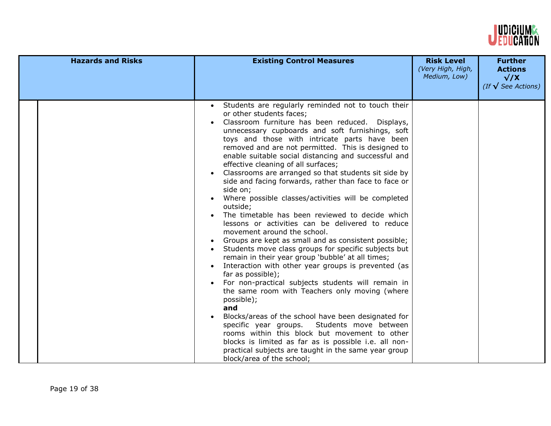

| <b>Hazards and Risks</b> | <b>Existing Control Measures</b>                                                                                                                                                                                                                                                                                                                                                                                                                                                                                                                                                                                                                                                                                                                                                                                                                                                                                                                                                                                                                                                                                                                                                                                                                                                                                                                                                                                        | <b>Risk Level</b><br>(Very High, High,<br>Medium, Low) | <b>Further</b><br><b>Actions</b><br>$\sqrt{X}$<br>(If $\sqrt{\ }$ See Actions) |
|--------------------------|-------------------------------------------------------------------------------------------------------------------------------------------------------------------------------------------------------------------------------------------------------------------------------------------------------------------------------------------------------------------------------------------------------------------------------------------------------------------------------------------------------------------------------------------------------------------------------------------------------------------------------------------------------------------------------------------------------------------------------------------------------------------------------------------------------------------------------------------------------------------------------------------------------------------------------------------------------------------------------------------------------------------------------------------------------------------------------------------------------------------------------------------------------------------------------------------------------------------------------------------------------------------------------------------------------------------------------------------------------------------------------------------------------------------------|--------------------------------------------------------|--------------------------------------------------------------------------------|
|                          | Students are regularly reminded not to touch their<br>or other students faces;<br>Classroom furniture has been reduced. Displays,<br>unnecessary cupboards and soft furnishings, soft<br>toys and those with intricate parts have been<br>removed and are not permitted. This is designed to<br>enable suitable social distancing and successful and<br>effective cleaning of all surfaces;<br>Classrooms are arranged so that students sit side by<br>side and facing forwards, rather than face to face or<br>side on;<br>Where possible classes/activities will be completed<br>outside;<br>The timetable has been reviewed to decide which<br>lessons or activities can be delivered to reduce<br>movement around the school.<br>Groups are kept as small and as consistent possible;<br>Students move class groups for specific subjects but<br>remain in their year group 'bubble' at all times;<br>Interaction with other year groups is prevented (as<br>far as possible);<br>For non-practical subjects students will remain in<br>the same room with Teachers only moving (where<br>possible);<br>and<br>Blocks/areas of the school have been designated for<br>specific year groups.<br>Students move between<br>rooms within this block but movement to other<br>blocks is limited as far as is possible i.e. all non-<br>practical subjects are taught in the same year group<br>block/area of the school; |                                                        |                                                                                |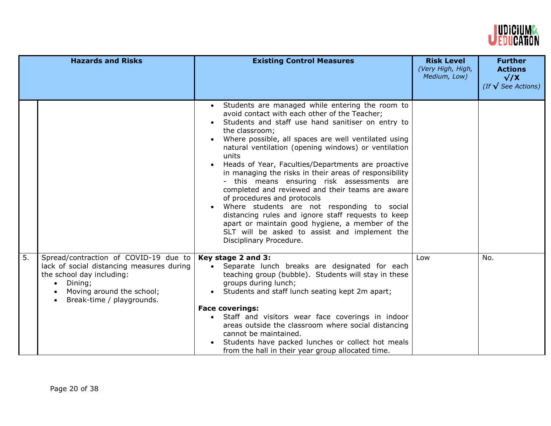

|    | <b>Hazards and Risks</b>                                                                                                                                                                          | <b>Existing Control Measures</b>                                                                                                                                                                                                                                                                                                                                                                                                                                                                                                                                                                                                                                                                                                                                                      | <b>Risk Level</b><br>(Very High, High,<br>Medium, Low) | <b>Further</b><br><b>Actions</b><br>$\sqrt{X}$<br>(If $\sqrt{\ }$ See Actions) |
|----|---------------------------------------------------------------------------------------------------------------------------------------------------------------------------------------------------|---------------------------------------------------------------------------------------------------------------------------------------------------------------------------------------------------------------------------------------------------------------------------------------------------------------------------------------------------------------------------------------------------------------------------------------------------------------------------------------------------------------------------------------------------------------------------------------------------------------------------------------------------------------------------------------------------------------------------------------------------------------------------------------|--------------------------------------------------------|--------------------------------------------------------------------------------|
|    |                                                                                                                                                                                                   | Students are managed while entering the room to<br>avoid contact with each other of the Teacher;<br>Students and staff use hand sanitiser on entry to<br>the classroom;<br>Where possible, all spaces are well ventilated using<br>natural ventilation (opening windows) or ventilation<br>units<br>Heads of Year, Faculties/Departments are proactive<br>in managing the risks in their areas of responsibility<br>- this means ensuring risk assessments are<br>completed and reviewed and their teams are aware<br>of procedures and protocols<br>Where students are not responding to social<br>distancing rules and ignore staff requests to keep<br>apart or maintain good hygiene, a member of the<br>SLT will be asked to assist and implement the<br>Disciplinary Procedure. |                                                        |                                                                                |
| 5. | Spread/contraction of COVID-19 due to<br>lack of social distancing measures during<br>the school day including:<br>Dining;<br>$\bullet$<br>Moving around the school;<br>Break-time / playgrounds. | Key stage 2 and 3:<br>Separate lunch breaks are designated for each<br>teaching group (bubble). Students will stay in these<br>groups during lunch;<br>Students and staff lunch seating kept 2m apart;<br><b>Face coverings:</b><br>Staff and visitors wear face coverings in indoor<br>areas outside the classroom where social distancing<br>cannot be maintained.<br>Students have packed lunches or collect hot meals<br>from the hall in their year group allocated time.                                                                                                                                                                                                                                                                                                        | Low                                                    | No.                                                                            |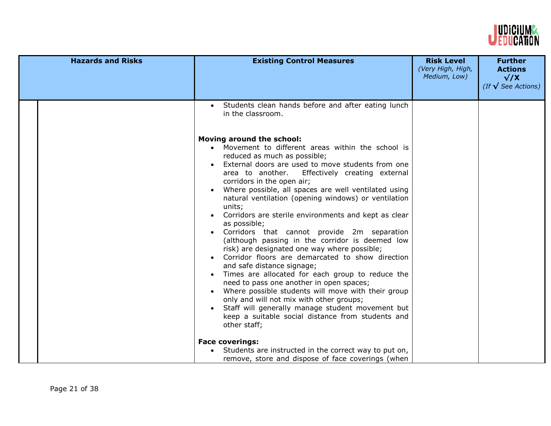

| <b>Hazards and Risks</b> | <b>Existing Control Measures</b>                                                                                                                                                                                                                                                                                                                                                                                                                                                                                                                                                                                                                                                                                                                                                                                                                                                                                                                                                                                                                                                                                                                                                                  | <b>Risk Level</b><br>(Very High, High,<br>Medium, Low) | <b>Further</b><br><b>Actions</b><br>$\sqrt{X}$<br>(If $\sqrt{\ }$ See Actions) |
|--------------------------|---------------------------------------------------------------------------------------------------------------------------------------------------------------------------------------------------------------------------------------------------------------------------------------------------------------------------------------------------------------------------------------------------------------------------------------------------------------------------------------------------------------------------------------------------------------------------------------------------------------------------------------------------------------------------------------------------------------------------------------------------------------------------------------------------------------------------------------------------------------------------------------------------------------------------------------------------------------------------------------------------------------------------------------------------------------------------------------------------------------------------------------------------------------------------------------------------|--------------------------------------------------------|--------------------------------------------------------------------------------|
|                          | Students clean hands before and after eating lunch<br>in the classroom.<br>Moving around the school:<br>Movement to different areas within the school is<br>reduced as much as possible;<br>External doors are used to move students from one<br>area to another.<br>Effectively creating external<br>corridors in the open air;<br>Where possible, all spaces are well ventilated using<br>$\bullet$<br>natural ventilation (opening windows) or ventilation<br>units;<br>Corridors are sterile environments and kept as clear<br>as possible;<br>Corridors that cannot provide 2m separation<br>(although passing in the corridor is deemed low<br>risk) are designated one way where possible;<br>Corridor floors are demarcated to show direction<br>and safe distance signage;<br>Times are allocated for each group to reduce the<br>need to pass one another in open spaces;<br>Where possible students will move with their group<br>only and will not mix with other groups;<br>Staff will generally manage student movement but<br>keep a suitable social distance from students and<br>other staff;<br><b>Face coverings:</b><br>Students are instructed in the correct way to put on, |                                                        |                                                                                |
|                          | remove, store and dispose of face coverings (when                                                                                                                                                                                                                                                                                                                                                                                                                                                                                                                                                                                                                                                                                                                                                                                                                                                                                                                                                                                                                                                                                                                                                 |                                                        |                                                                                |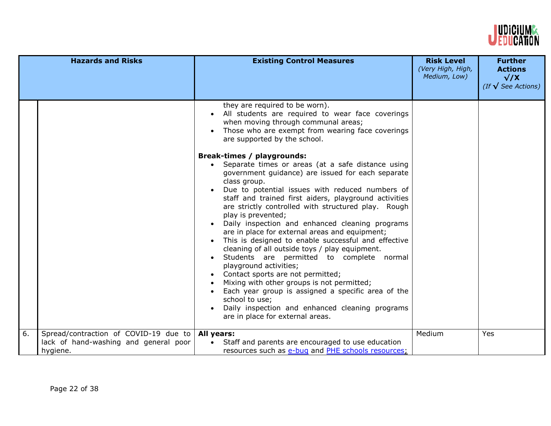

|    | <b>Hazards and Risks</b>                                                                   | <b>Existing Control Measures</b>                                                                                                                                                                                                                                                                                                                                                                                                                                                                                                                                                                                                                                                                                                                                                                                                                                                                                                                                                                                                                                                                             | <b>Risk Level</b><br>(Very High, High,<br>Medium, Low) | <b>Further</b><br><b>Actions</b><br>$\sqrt{X}$ |
|----|--------------------------------------------------------------------------------------------|--------------------------------------------------------------------------------------------------------------------------------------------------------------------------------------------------------------------------------------------------------------------------------------------------------------------------------------------------------------------------------------------------------------------------------------------------------------------------------------------------------------------------------------------------------------------------------------------------------------------------------------------------------------------------------------------------------------------------------------------------------------------------------------------------------------------------------------------------------------------------------------------------------------------------------------------------------------------------------------------------------------------------------------------------------------------------------------------------------------|--------------------------------------------------------|------------------------------------------------|
|    |                                                                                            |                                                                                                                                                                                                                                                                                                                                                                                                                                                                                                                                                                                                                                                                                                                                                                                                                                                                                                                                                                                                                                                                                                              |                                                        | (If $\sqrt{\ }$ See Actions)                   |
|    |                                                                                            | they are required to be worn).<br>All students are required to wear face coverings<br>when moving through communal areas;<br>Those who are exempt from wearing face coverings<br>are supported by the school.<br><b>Break-times / playgrounds:</b><br>Separate times or areas (at a safe distance using<br>government guidance) are issued for each separate<br>class group.<br>Due to potential issues with reduced numbers of<br>staff and trained first aiders, playground activities<br>are strictly controlled with structured play. Rough<br>play is prevented;<br>Daily inspection and enhanced cleaning programs<br>are in place for external areas and equipment;<br>This is designed to enable successful and effective<br>cleaning of all outside toys / play equipment.<br>Students are permitted to complete normal<br>playground activities;<br>Contact sports are not permitted;<br>Mixing with other groups is not permitted;<br>Each year group is assigned a specific area of the<br>school to use;<br>Daily inspection and enhanced cleaning programs<br>are in place for external areas. |                                                        |                                                |
| 6. | Spread/contraction of COVID-19 due to<br>lack of hand-washing and general poor<br>hygiene. | All years:<br>Staff and parents are encouraged to use education<br>$\bullet$<br>resources such as e-bug and PHE schools resources;                                                                                                                                                                                                                                                                                                                                                                                                                                                                                                                                                                                                                                                                                                                                                                                                                                                                                                                                                                           | Medium                                                 | Yes                                            |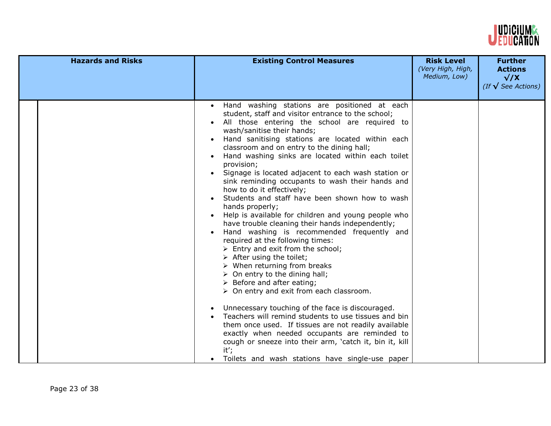

| <b>Hazards and Risks</b> | <b>Existing Control Measures</b>                                                                                                                                                                                                                                                                                                                                                                                                                                                                                                                                                                                                                                                                                                                                                                                                                                                                                                                                                                                                                                                                                                                                                                                                                                                                                                                                                                                               | <b>Risk Level</b><br>(Very High, High,<br>Medium, Low) | <b>Further</b><br><b>Actions</b><br>$\sqrt{X}$<br>(If $\sqrt{\ }$ See Actions) |
|--------------------------|--------------------------------------------------------------------------------------------------------------------------------------------------------------------------------------------------------------------------------------------------------------------------------------------------------------------------------------------------------------------------------------------------------------------------------------------------------------------------------------------------------------------------------------------------------------------------------------------------------------------------------------------------------------------------------------------------------------------------------------------------------------------------------------------------------------------------------------------------------------------------------------------------------------------------------------------------------------------------------------------------------------------------------------------------------------------------------------------------------------------------------------------------------------------------------------------------------------------------------------------------------------------------------------------------------------------------------------------------------------------------------------------------------------------------------|--------------------------------------------------------|--------------------------------------------------------------------------------|
|                          | Hand washing stations are positioned at each<br>$\bullet$<br>student, staff and visitor entrance to the school;<br>All those entering the school are required to<br>wash/sanitise their hands;<br>Hand sanitising stations are located within each<br>classroom and on entry to the dining hall;<br>Hand washing sinks are located within each toilet<br>provision;<br>Signage is located adjacent to each wash station or<br>sink reminding occupants to wash their hands and<br>how to do it effectively;<br>Students and staff have been shown how to wash<br>hands properly;<br>Help is available for children and young people who<br>have trouble cleaning their hands independently;<br>Hand washing is recommended frequently and<br>required at the following times:<br>$\triangleright$ Entry and exit from the school;<br>$\triangleright$ After using the toilet;<br>$\triangleright$ When returning from breaks<br>$\triangleright$ On entry to the dining hall;<br>$\triangleright$ Before and after eating;<br>> On entry and exit from each classroom.<br>Unnecessary touching of the face is discouraged.<br>$\bullet$<br>Teachers will remind students to use tissues and bin<br>them once used. If tissues are not readily available<br>exactly when needed occupants are reminded to<br>cough or sneeze into their arm, 'catch it, bin it, kill<br>it';<br>Toilets and wash stations have single-use paper |                                                        |                                                                                |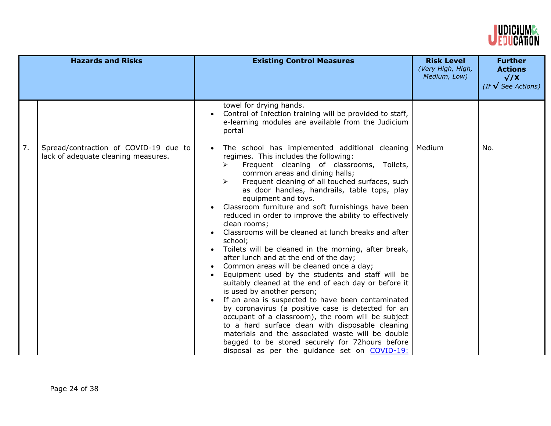

|    | <b>Hazards and Risks</b>                                                     | <b>Existing Control Measures</b>                                                                                                                                                                                                                                                                                                                                                                                                                                                                                                                                                                                                                                                                                                                                                                                                                                                                                                                                                                                                                                                                                                                                                                                                  | <b>Risk Level</b><br>(Very High, High,<br>Medium, Low) | <b>Further</b><br><b>Actions</b><br>$\sqrt{X}$<br>(If $\sqrt{\ }$ See Actions) |
|----|------------------------------------------------------------------------------|-----------------------------------------------------------------------------------------------------------------------------------------------------------------------------------------------------------------------------------------------------------------------------------------------------------------------------------------------------------------------------------------------------------------------------------------------------------------------------------------------------------------------------------------------------------------------------------------------------------------------------------------------------------------------------------------------------------------------------------------------------------------------------------------------------------------------------------------------------------------------------------------------------------------------------------------------------------------------------------------------------------------------------------------------------------------------------------------------------------------------------------------------------------------------------------------------------------------------------------|--------------------------------------------------------|--------------------------------------------------------------------------------|
|    |                                                                              | towel for drying hands.<br>Control of Infection training will be provided to staff,<br>e-learning modules are available from the Judicium<br>portal                                                                                                                                                                                                                                                                                                                                                                                                                                                                                                                                                                                                                                                                                                                                                                                                                                                                                                                                                                                                                                                                               |                                                        |                                                                                |
| 7. | Spread/contraction of COVID-19 due to<br>lack of adequate cleaning measures. | The school has implemented additional cleaning<br>$\bullet$<br>regimes. This includes the following:<br>Frequent cleaning of classrooms, Toilets,<br>➤<br>common areas and dining halls;<br>Frequent cleaning of all touched surfaces, such<br>$\blacktriangleright$<br>as door handles, handrails, table tops, play<br>equipment and toys.<br>Classroom furniture and soft furnishings have been<br>reduced in order to improve the ability to effectively<br>clean rooms;<br>Classrooms will be cleaned at lunch breaks and after<br>school;<br>Toilets will be cleaned in the morning, after break,<br>$\bullet$<br>after lunch and at the end of the day;<br>Common areas will be cleaned once a day;<br>Equipment used by the students and staff will be<br>suitably cleaned at the end of each day or before it<br>is used by another person;<br>If an area is suspected to have been contaminated<br>by coronavirus (a positive case is detected for an<br>occupant of a classroom), the room will be subject<br>to a hard surface clean with disposable cleaning<br>materials and the associated waste will be double<br>bagged to be stored securely for 72hours before<br>disposal as per the guidance set on COVID-19: | Medium                                                 | No.                                                                            |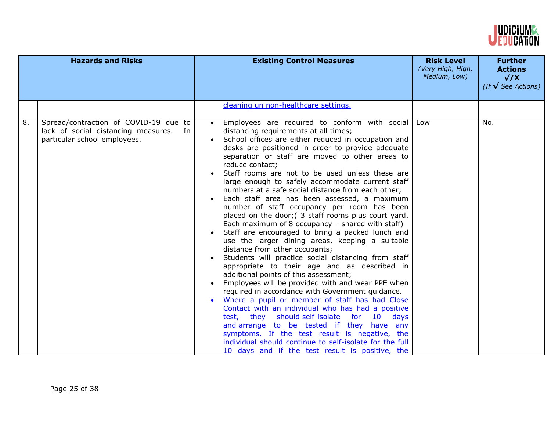

|    | <b>Hazards and Risks</b>                                                                                        | <b>Existing Control Measures</b>                                                                                                                                                                                                                                                                                                                                                                                                                                                                                                                                                                                                                                                                                                                                                                                                                                                                                                                                                                                                                                                                                                                                                                                                                                                                                                                                                                                     | <b>Risk Level</b><br>(Very High, High,<br>Medium, Low) | <b>Further</b><br><b>Actions</b><br>$\sqrt{X}$<br>(If $\sqrt{\ }$ See Actions) |
|----|-----------------------------------------------------------------------------------------------------------------|----------------------------------------------------------------------------------------------------------------------------------------------------------------------------------------------------------------------------------------------------------------------------------------------------------------------------------------------------------------------------------------------------------------------------------------------------------------------------------------------------------------------------------------------------------------------------------------------------------------------------------------------------------------------------------------------------------------------------------------------------------------------------------------------------------------------------------------------------------------------------------------------------------------------------------------------------------------------------------------------------------------------------------------------------------------------------------------------------------------------------------------------------------------------------------------------------------------------------------------------------------------------------------------------------------------------------------------------------------------------------------------------------------------------|--------------------------------------------------------|--------------------------------------------------------------------------------|
|    |                                                                                                                 | cleaning un non-healthcare settings.                                                                                                                                                                                                                                                                                                                                                                                                                                                                                                                                                                                                                                                                                                                                                                                                                                                                                                                                                                                                                                                                                                                                                                                                                                                                                                                                                                                 |                                                        |                                                                                |
| 8. | Spread/contraction of COVID-19 due to<br>lack of social distancing measures. In<br>particular school employees. | Employees are required to conform with social<br>distancing requirements at all times;<br>School offices are either reduced in occupation and<br>desks are positioned in order to provide adequate<br>separation or staff are moved to other areas to<br>reduce contact;<br>Staff rooms are not to be used unless these are<br>large enough to safely accommodate current staff<br>numbers at a safe social distance from each other;<br>Each staff area has been assessed, a maximum<br>number of staff occupancy per room has been<br>placed on the door; (3 staff rooms plus court yard.<br>Each maximum of 8 occupancy $-$ shared with staff)<br>Staff are encouraged to bring a packed lunch and<br>use the larger dining areas, keeping a suitable<br>distance from other occupants;<br>Students will practice social distancing from staff<br>appropriate to their age and as described in<br>additional points of this assessment;<br>Employees will be provided with and wear PPE when<br>required in accordance with Government guidance.<br>Where a pupil or member of staff has had Close<br>Contact with an individual who has had a positive<br>test, they should self-isolate for 10 days<br>and arrange to be tested if they have any<br>symptoms. If the test result is negative, the<br>individual should continue to self-isolate for the full<br>10 days and if the test result is positive, the | Low                                                    | No.                                                                            |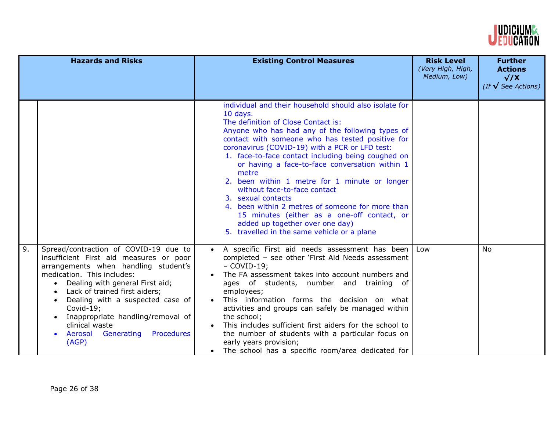

|    | <b>Hazards and Risks</b>                                                                                                                                                                                                                                                                                                                                                                                                    | <b>Existing Control Measures</b>                                                                                                                                                                                                                                                                                                                                                                                                                                                                                                                                                                                                                                                 | <b>Risk Level</b><br>(Very High, High,<br>Medium, Low) | <b>Further</b><br><b>Actions</b><br>$\sqrt{X}$<br>(If $\sqrt{\ }$ See Actions) |
|----|-----------------------------------------------------------------------------------------------------------------------------------------------------------------------------------------------------------------------------------------------------------------------------------------------------------------------------------------------------------------------------------------------------------------------------|----------------------------------------------------------------------------------------------------------------------------------------------------------------------------------------------------------------------------------------------------------------------------------------------------------------------------------------------------------------------------------------------------------------------------------------------------------------------------------------------------------------------------------------------------------------------------------------------------------------------------------------------------------------------------------|--------------------------------------------------------|--------------------------------------------------------------------------------|
|    |                                                                                                                                                                                                                                                                                                                                                                                                                             | individual and their household should also isolate for<br>10 days.<br>The definition of Close Contact is:<br>Anyone who has had any of the following types of<br>contact with someone who has tested positive for<br>coronavirus (COVID-19) with a PCR or LFD test:<br>1. face-to-face contact including being coughed on<br>or having a face-to-face conversation within 1<br>metre<br>2. been within 1 metre for 1 minute or longer<br>without face-to-face contact<br>3. sexual contacts<br>4. been within 2 metres of someone for more than<br>15 minutes (either as a one-off contact, or<br>added up together over one day)<br>5. travelled in the same vehicle or a plane |                                                        |                                                                                |
| 9. | Spread/contraction of COVID-19 due to<br>insufficient First aid measures or poor<br>arrangements when handling student's<br>medication. This includes:<br>• Dealing with general First aid;<br>Lack of trained first aiders;<br>$\bullet$<br>Dealing with a suspected case of<br>Covid-19;<br>Inappropriate handling/removal of<br>$\bullet$<br>clinical waste<br>Procedures<br>Aerosol<br>Generating<br>$\bullet$<br>(AGP) | A specific First aid needs assessment has been<br>$\bullet$<br>completed - see other 'First Aid Needs assessment<br>$-COVID-19$ ;<br>The FA assessment takes into account numbers and<br>ages of students, number and training of<br>employees;<br>This information forms the decision on what<br>activities and groups can safely be managed within<br>the school;<br>This includes sufficient first aiders for the school to<br>the number of students with a particular focus on<br>early years provision;<br>The school has a specific room/area dedicated for                                                                                                               | Low                                                    | No.                                                                            |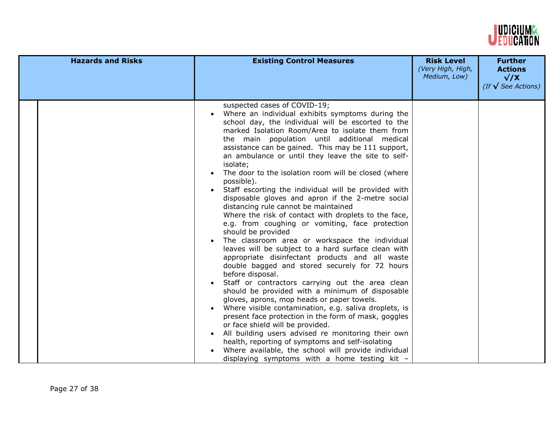

| <b>Hazards and Risks</b> | <b>Existing Control Measures</b>                                                                                                                                                                                                                                                                                                                                                                                                                                                                                                                                                                                                                                                                                                                                                                                                                                                                                                                                                                                                                                                                                                                                                                                                                                                                                                                                                                                                                                                                           | <b>Risk Level</b><br>(Very High, High,<br>Medium, Low) | <b>Further</b><br><b>Actions</b><br>$\sqrt{X}$<br>(If $\sqrt{\ }$ See Actions) |
|--------------------------|------------------------------------------------------------------------------------------------------------------------------------------------------------------------------------------------------------------------------------------------------------------------------------------------------------------------------------------------------------------------------------------------------------------------------------------------------------------------------------------------------------------------------------------------------------------------------------------------------------------------------------------------------------------------------------------------------------------------------------------------------------------------------------------------------------------------------------------------------------------------------------------------------------------------------------------------------------------------------------------------------------------------------------------------------------------------------------------------------------------------------------------------------------------------------------------------------------------------------------------------------------------------------------------------------------------------------------------------------------------------------------------------------------------------------------------------------------------------------------------------------------|--------------------------------------------------------|--------------------------------------------------------------------------------|
|                          | suspected cases of COVID-19;<br>Where an individual exhibits symptoms during the<br>school day, the individual will be escorted to the<br>marked Isolation Room/Area to isolate them from<br>the main population until additional medical<br>assistance can be gained. This may be 111 support,<br>an ambulance or until they leave the site to self-<br>isolate;<br>The door to the isolation room will be closed (where<br>possible).<br>Staff escorting the individual will be provided with<br>disposable gloves and apron if the 2-metre social<br>distancing rule cannot be maintained<br>Where the risk of contact with droplets to the face,<br>e.g. from coughing or vomiting, face protection<br>should be provided<br>The classroom area or workspace the individual<br>leaves will be subject to a hard surface clean with<br>appropriate disinfectant products and all waste<br>double bagged and stored securely for 72 hours<br>before disposal.<br>Staff or contractors carrying out the area clean<br>should be provided with a minimum of disposable<br>gloves, aprons, mop heads or paper towels.<br>Where visible contamination, e.g. saliva droplets, is<br>present face protection in the form of mask, goggles<br>or face shield will be provided.<br>All building users advised re monitoring their own<br>$\bullet$<br>health, reporting of symptoms and self-isolating<br>Where available, the school will provide individual<br>displaying symptoms with a home testing kit $-$ |                                                        |                                                                                |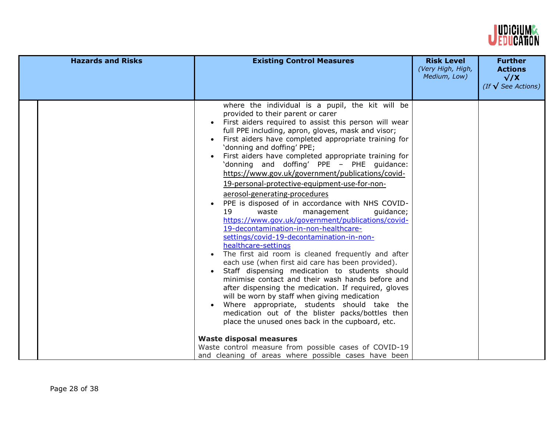

| where the individual is a pupil, the kit will be<br>provided to their parent or carer<br>First aiders required to assist this person will wear<br>full PPE including, apron, gloves, mask and visor;<br>First aiders have completed appropriate training for<br>'donning and doffing' PPE;<br>First aiders have completed appropriate training for<br>'donning and doffing' PPE - PHE quidance:<br>https://www.gov.uk/government/publications/covid-                                                                                                                                                                                                                                                                                                                                                                                                                                                                                                                              | <b>Hazards and Risks</b> | <b>Existing Control Measures</b> | <b>Risk Level</b><br>(Very High, High,<br>Medium, Low) | <b>Further</b><br><b>Actions</b><br>$\sqrt{X}$<br>(If $\sqrt{\ }$ See Actions) |
|-----------------------------------------------------------------------------------------------------------------------------------------------------------------------------------------------------------------------------------------------------------------------------------------------------------------------------------------------------------------------------------------------------------------------------------------------------------------------------------------------------------------------------------------------------------------------------------------------------------------------------------------------------------------------------------------------------------------------------------------------------------------------------------------------------------------------------------------------------------------------------------------------------------------------------------------------------------------------------------|--------------------------|----------------------------------|--------------------------------------------------------|--------------------------------------------------------------------------------|
| 19-personal-protective-equipment-use-for-non-<br>aerosol-generating-procedures<br>PPE is disposed of in accordance with NHS COVID-<br>19<br>waste<br>management<br>guidance;<br>https://www.gov.uk/government/publications/covid-<br>19-decontamination-in-non-healthcare-<br>settings/covid-19-decontamination-in-non-<br>healthcare-settings<br>The first aid room is cleaned frequently and after<br>each use (when first aid care has been provided).<br>Staff dispensing medication to students should<br>minimise contact and their wash hands before and<br>after dispensing the medication. If required, gloves<br>will be worn by staff when giving medication<br>Where appropriate, students should take the<br>medication out of the blister packs/bottles then<br>place the unused ones back in the cupboard, etc.<br><b>Waste disposal measures</b><br>Waste control measure from possible cases of COVID-19<br>and cleaning of areas where possible cases have been |                          |                                  |                                                        |                                                                                |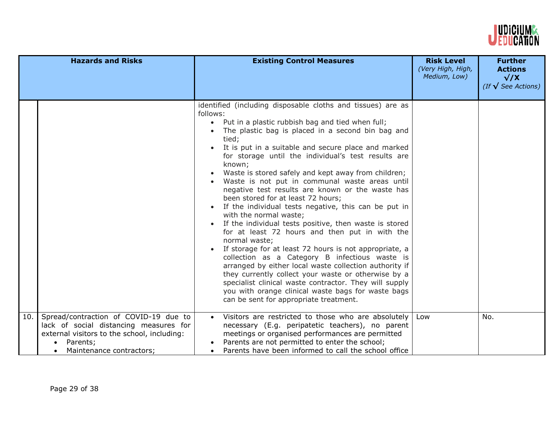

|     | <b>Hazards and Risks</b>                                                                                                                                               | <b>Existing Control Measures</b>                                                                                                                                                                                                                                                                                                                                                                                                                                                                                                                                                                                                                                                                                                                                                                                                                                                                                                                                                                                                                                                                                             | <b>Risk Level</b><br>(Very High, High,<br>Medium, Low) | <b>Further</b><br><b>Actions</b><br>$\sqrt{X}$<br>(If $\sqrt{\ }$ See Actions) |
|-----|------------------------------------------------------------------------------------------------------------------------------------------------------------------------|------------------------------------------------------------------------------------------------------------------------------------------------------------------------------------------------------------------------------------------------------------------------------------------------------------------------------------------------------------------------------------------------------------------------------------------------------------------------------------------------------------------------------------------------------------------------------------------------------------------------------------------------------------------------------------------------------------------------------------------------------------------------------------------------------------------------------------------------------------------------------------------------------------------------------------------------------------------------------------------------------------------------------------------------------------------------------------------------------------------------------|--------------------------------------------------------|--------------------------------------------------------------------------------|
|     |                                                                                                                                                                        | identified (including disposable cloths and tissues) are as<br>follows:<br>• Put in a plastic rubbish bag and tied when full;<br>The plastic bag is placed in a second bin bag and<br>tied;<br>It is put in a suitable and secure place and marked<br>for storage until the individual's test results are<br>known;<br>Waste is stored safely and kept away from children;<br>Waste is not put in communal waste areas until<br>negative test results are known or the waste has<br>been stored for at least 72 hours;<br>If the individual tests negative, this can be put in<br>with the normal waste;<br>If the individual tests positive, then waste is stored<br>for at least 72 hours and then put in with the<br>normal waste;<br>If storage for at least 72 hours is not appropriate, a<br>collection as a Category B infectious waste is<br>arranged by either local waste collection authority if<br>they currently collect your waste or otherwise by a<br>specialist clinical waste contractor. They will supply<br>you with orange clinical waste bags for waste bags<br>can be sent for appropriate treatment. |                                                        |                                                                                |
| 10. | Spread/contraction of COVID-19 due to<br>lack of social distancing measures for<br>external visitors to the school, including:<br>Parents;<br>Maintenance contractors; | Visitors are restricted to those who are absolutely<br>necessary (E.g. peripatetic teachers), no parent<br>meetings or organised performances are permitted<br>Parents are not permitted to enter the school;<br>Parents have been informed to call the school office                                                                                                                                                                                                                                                                                                                                                                                                                                                                                                                                                                                                                                                                                                                                                                                                                                                        | Low                                                    | No.                                                                            |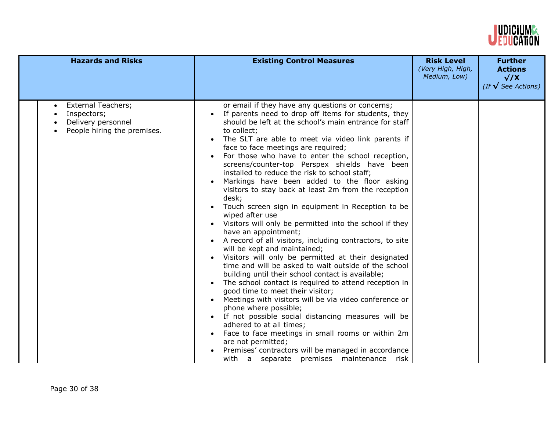

| <b>Hazards and Risks</b>                                                                                   | <b>Existing Control Measures</b>                                                                                                                                                                                                                                                                                                                                                                                                                                                                                                                                                                                                                                                                                                                                                                                                                                                                                                                                                                                                                                                                                                                                                                                                                                                                                                                                                                                                   | <b>Risk Level</b><br>(Very High, High,<br>Medium, Low) | <b>Further</b><br><b>Actions</b><br>$\sqrt{X}$<br>(If $\sqrt{\ }$ See Actions) |
|------------------------------------------------------------------------------------------------------------|------------------------------------------------------------------------------------------------------------------------------------------------------------------------------------------------------------------------------------------------------------------------------------------------------------------------------------------------------------------------------------------------------------------------------------------------------------------------------------------------------------------------------------------------------------------------------------------------------------------------------------------------------------------------------------------------------------------------------------------------------------------------------------------------------------------------------------------------------------------------------------------------------------------------------------------------------------------------------------------------------------------------------------------------------------------------------------------------------------------------------------------------------------------------------------------------------------------------------------------------------------------------------------------------------------------------------------------------------------------------------------------------------------------------------------|--------------------------------------------------------|--------------------------------------------------------------------------------|
| <b>External Teachers;</b><br>$\bullet$<br>Inspectors;<br>Delivery personnel<br>People hiring the premises. | or email if they have any questions or concerns;<br>If parents need to drop off items for students, they<br>should be left at the school's main entrance for staff<br>to collect;<br>The SLT are able to meet via video link parents if<br>face to face meetings are required;<br>For those who have to enter the school reception,<br>screens/counter-top Perspex shields have been<br>installed to reduce the risk to school staff;<br>Markings have been added to the floor asking<br>visitors to stay back at least 2m from the reception<br>desk;<br>Touch screen sign in equipment in Reception to be<br>wiped after use<br>Visitors will only be permitted into the school if they<br>have an appointment;<br>A record of all visitors, including contractors, to site<br>will be kept and maintained;<br>Visitors will only be permitted at their designated<br>time and will be asked to wait outside of the school<br>building until their school contact is available;<br>The school contact is required to attend reception in<br>good time to meet their visitor;<br>Meetings with visitors will be via video conference or<br>phone where possible;<br>If not possible social distancing measures will be<br>adhered to at all times;<br>Face to face meetings in small rooms or within 2m<br>are not permitted;<br>Premises' contractors will be managed in accordance<br>with a separate premises maintenance risk |                                                        |                                                                                |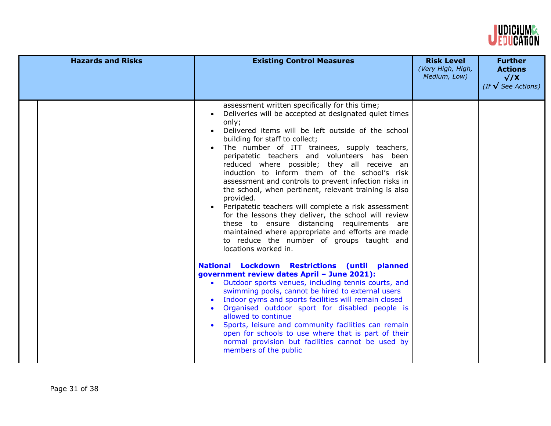

| <b>Hazards and Risks</b> | <b>Existing Control Measures</b>                                                                                                                                                                                                                                                                                                                                                                                                                                                                                                                                                                                                                                                                                                                                                                                                 | <b>Risk Level</b><br>(Very High, High,<br>Medium, Low) | <b>Further</b><br><b>Actions</b><br>$\sqrt{X}$<br>(If $\sqrt{\ }$ See Actions) |
|--------------------------|----------------------------------------------------------------------------------------------------------------------------------------------------------------------------------------------------------------------------------------------------------------------------------------------------------------------------------------------------------------------------------------------------------------------------------------------------------------------------------------------------------------------------------------------------------------------------------------------------------------------------------------------------------------------------------------------------------------------------------------------------------------------------------------------------------------------------------|--------------------------------------------------------|--------------------------------------------------------------------------------|
|                          | assessment written specifically for this time;<br>Deliveries will be accepted at designated quiet times<br>only;<br>Delivered items will be left outside of the school<br>building for staff to collect;<br>The number of ITT trainees, supply teachers,<br>peripatetic teachers and volunteers has been<br>reduced where possible; they all receive an<br>induction to inform them of the school's risk<br>assessment and controls to prevent infection risks in<br>the school, when pertinent, relevant training is also<br>provided.<br>Peripatetic teachers will complete a risk assessment<br>for the lessons they deliver, the school will review<br>these to ensure distancing requirements are<br>maintained where appropriate and efforts are made<br>to reduce the number of groups taught and<br>locations worked in. |                                                        |                                                                                |
|                          | National Lockdown Restrictions (until planned<br>government review dates April - June 2021):<br>Outdoor sports venues, including tennis courts, and<br>swimming pools, cannot be hired to external users<br>Indoor gyms and sports facilities will remain closed<br>Organised outdoor sport for disabled people is<br>allowed to continue<br>Sports, leisure and community facilities can remain<br>open for schools to use where that is part of their<br>normal provision but facilities cannot be used by<br>members of the public                                                                                                                                                                                                                                                                                            |                                                        |                                                                                |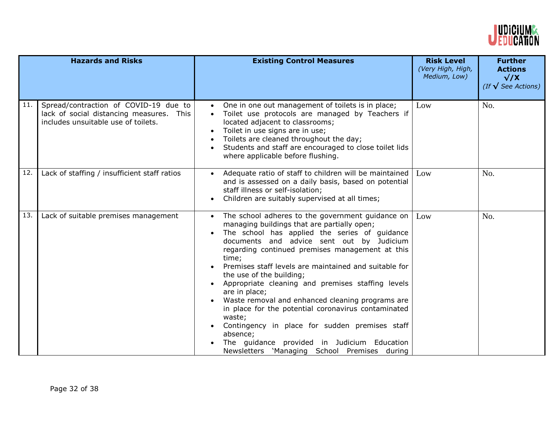

|     | <b>Hazards and Risks</b>                                                                                                 | <b>Existing Control Measures</b>                                                                                                                                                                                                                                                                                                                                                                                                                                                                                                                                                                                                                                                                                                              | <b>Risk Level</b><br>(Very High, High,<br>Medium, Low) | <b>Further</b><br><b>Actions</b><br>$\sqrt{X}$<br>(If $\sqrt{\ }$ See Actions) |
|-----|--------------------------------------------------------------------------------------------------------------------------|-----------------------------------------------------------------------------------------------------------------------------------------------------------------------------------------------------------------------------------------------------------------------------------------------------------------------------------------------------------------------------------------------------------------------------------------------------------------------------------------------------------------------------------------------------------------------------------------------------------------------------------------------------------------------------------------------------------------------------------------------|--------------------------------------------------------|--------------------------------------------------------------------------------|
| 11. | Spread/contraction of COVID-19 due to<br>lack of social distancing measures. This<br>includes unsuitable use of toilets. | One in one out management of toilets is in place;<br>$\bullet$<br>Toilet use protocols are managed by Teachers if<br>located adjacent to classrooms;<br>Toilet in use signs are in use;<br>Toilets are cleaned throughout the day;<br>Students and staff are encouraged to close toilet lids<br>$\bullet$<br>where applicable before flushing.                                                                                                                                                                                                                                                                                                                                                                                                | Low                                                    | No.                                                                            |
| 12. | Lack of staffing / insufficient staff ratios                                                                             | Adequate ratio of staff to children will be maintained<br>$\bullet$<br>and is assessed on a daily basis, based on potential<br>staff illness or self-isolation;<br>Children are suitably supervised at all times;<br>$\bullet$                                                                                                                                                                                                                                                                                                                                                                                                                                                                                                                | Low                                                    | No.                                                                            |
| 13. | Lack of suitable premises management                                                                                     | The school adheres to the government guidance on<br>$\bullet$<br>managing buildings that are partially open;<br>The school has applied the series of guidance<br>$\bullet$<br>documents and advice sent out by Judicium<br>regarding continued premises management at this<br>time;<br>Premises staff levels are maintained and suitable for<br>$\bullet$<br>the use of the building;<br>Appropriate cleaning and premises staffing levels<br>are in place;<br>Waste removal and enhanced cleaning programs are<br>in place for the potential coronavirus contaminated<br>waste;<br>Contingency in place for sudden premises staff<br>absence;<br>The guidance provided in Judicium Education<br>Newsletters 'Managing School Premises during | Low                                                    | No.                                                                            |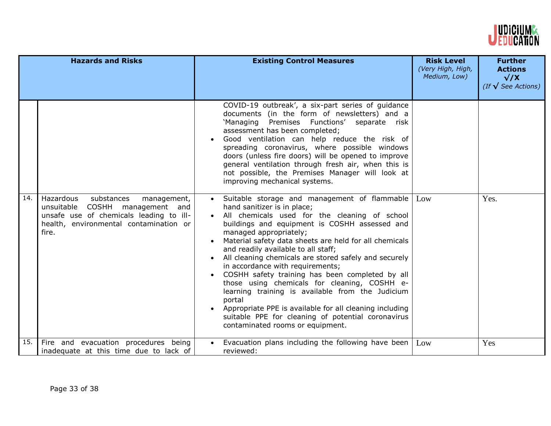

| <b>Hazards and Risks</b> |                                                                                                                                                                         | <b>Existing Control Measures</b>                                                                                                                                                                                                                                                                                                                                                                                                                                                                                                                                                                                                                                                                                                                        | <b>Risk Level</b><br>(Very High, High,<br>Medium, Low) | <b>Further</b><br><b>Actions</b><br>$\sqrt{X}$<br>(If $\sqrt{\ }$ See Actions) |
|--------------------------|-------------------------------------------------------------------------------------------------------------------------------------------------------------------------|---------------------------------------------------------------------------------------------------------------------------------------------------------------------------------------------------------------------------------------------------------------------------------------------------------------------------------------------------------------------------------------------------------------------------------------------------------------------------------------------------------------------------------------------------------------------------------------------------------------------------------------------------------------------------------------------------------------------------------------------------------|--------------------------------------------------------|--------------------------------------------------------------------------------|
|                          |                                                                                                                                                                         | COVID-19 outbreak', a six-part series of guidance<br>documents (in the form of newsletters) and a<br>'Managing Premises Functions' separate risk<br>assessment has been completed;<br>Good ventilation can help reduce the risk of<br>spreading coronavirus, where possible windows<br>doors (unless fire doors) will be opened to improve<br>general ventilation through fresh air, when this is<br>not possible, the Premises Manager will look at<br>improving mechanical systems.                                                                                                                                                                                                                                                                   |                                                        |                                                                                |
| 14.                      | Hazardous<br>substances<br>management,<br>unsuitable COSHH management and<br>unsafe use of chemicals leading to ill-<br>health, environmental contamination or<br>fire. | · Suitable storage and management of flammable<br>hand sanitizer is in place;<br>All chemicals used for the cleaning of school<br>buildings and equipment is COSHH assessed and<br>managed appropriately;<br>Material safety data sheets are held for all chemicals<br>$\bullet$<br>and readily available to all staff;<br>All cleaning chemicals are stored safely and securely<br>$\bullet$<br>in accordance with requirements;<br>COSHH safety training has been completed by all<br>those using chemicals for cleaning, COSHH e-<br>learning training is available from the Judicium<br>portal<br>Appropriate PPE is available for all cleaning including<br>suitable PPE for cleaning of potential coronavirus<br>contaminated rooms or equipment. | Low                                                    | Yes.                                                                           |
| 15.                      | Fire and evacuation procedures being<br>inadequate at this time due to lack of                                                                                          | Evacuation plans including the following have been<br>$\bullet$<br>reviewed:                                                                                                                                                                                                                                                                                                                                                                                                                                                                                                                                                                                                                                                                            | Low                                                    | Yes                                                                            |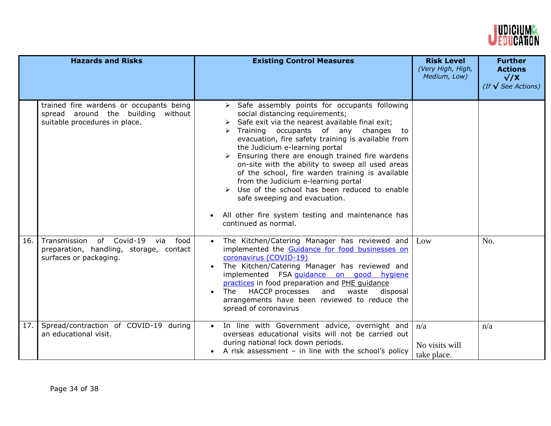

|      | <b>Hazards and Risks</b>                                                                                       | <b>Existing Control Measures</b>                                                                                                                                                                                                                                                                                                                                                                                                                                                                                                                                                                                                                                                       | <b>Risk Level</b><br>(Very High, High,<br>Medium, Low) | <b>Further</b><br><b>Actions</b><br>$\sqrt{X}$<br>(If $\sqrt{\ }$ See Actions) |
|------|----------------------------------------------------------------------------------------------------------------|----------------------------------------------------------------------------------------------------------------------------------------------------------------------------------------------------------------------------------------------------------------------------------------------------------------------------------------------------------------------------------------------------------------------------------------------------------------------------------------------------------------------------------------------------------------------------------------------------------------------------------------------------------------------------------------|--------------------------------------------------------|--------------------------------------------------------------------------------|
|      | trained fire wardens or occupants being<br>spread around the building without<br>suitable procedures in place. | > Safe assembly points for occupants following<br>social distancing requirements;<br>$\triangleright$ Safe exit via the nearest available final exit;<br>Training occupants of any changes to<br>evacuation, fire safety training is available from<br>the Judicium e-learning portal<br>$\triangleright$ Ensuring there are enough trained fire wardens<br>on-site with the ability to sweep all used areas<br>of the school, fire warden training is available<br>from the Judicium e-learning portal<br>$\triangleright$ Use of the school has been reduced to enable<br>safe sweeping and evacuation.<br>All other fire system testing and maintenance has<br>continued as normal. |                                                        |                                                                                |
| 16.1 | Transmission of Covid-19 via<br>food<br>preparation, handling, storage, contact<br>surfaces or packaging.      | The Kitchen/Catering Manager has reviewed and<br>$\bullet$<br>implemented the Guidance for food businesses on<br>coronavirus (COVID-19)<br>The Kitchen/Catering Manager has reviewed and<br>implemented FSA guidance on good hygiene<br>practices in food preparation and PHE quidance<br>HACCP processes and<br>waste<br>The<br>disposal<br>arrangements have been reviewed to reduce the<br>spread of coronavirus                                                                                                                                                                                                                                                                    | Low                                                    | No.                                                                            |
| 17.  | Spread/contraction of COVID-19 during<br>an educational visit.                                                 | In line with Government advice, overnight and<br>overseas educational visits will not be carried out<br>during national lock down periods.<br>A risk assessment $-$ in line with the school's policy                                                                                                                                                                                                                                                                                                                                                                                                                                                                                   | n/a<br>No visits will<br>take place.                   | n/a                                                                            |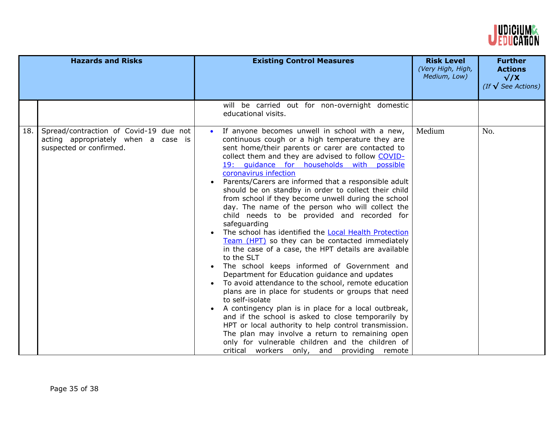

| <b>Hazards and Risks</b> |                                                                                                          | <b>Existing Control Measures</b>                                                                                                                                                                                                                                                                                                                                                                                                                                                                                                                                                                                                                                                                                                                                                                                                                                                                                                                                                                                                                                                                                                                                                                                                                                                                                                         | <b>Risk Level</b><br>(Very High, High,<br>Medium, Low) | <b>Further</b><br><b>Actions</b><br>$\sqrt{X}$<br>(If $\sqrt{\ }$ See Actions) |
|--------------------------|----------------------------------------------------------------------------------------------------------|------------------------------------------------------------------------------------------------------------------------------------------------------------------------------------------------------------------------------------------------------------------------------------------------------------------------------------------------------------------------------------------------------------------------------------------------------------------------------------------------------------------------------------------------------------------------------------------------------------------------------------------------------------------------------------------------------------------------------------------------------------------------------------------------------------------------------------------------------------------------------------------------------------------------------------------------------------------------------------------------------------------------------------------------------------------------------------------------------------------------------------------------------------------------------------------------------------------------------------------------------------------------------------------------------------------------------------------|--------------------------------------------------------|--------------------------------------------------------------------------------|
|                          |                                                                                                          | will be carried out for non-overnight domestic<br>educational visits.                                                                                                                                                                                                                                                                                                                                                                                                                                                                                                                                                                                                                                                                                                                                                                                                                                                                                                                                                                                                                                                                                                                                                                                                                                                                    |                                                        |                                                                                |
| 18.                      | Spread/contraction of Covid-19 due not<br>acting appropriately when a case is<br>suspected or confirmed. | If anyone becomes unwell in school with a new,<br>continuous cough or a high temperature they are<br>sent home/their parents or carer are contacted to<br>collect them and they are advised to follow COVID-<br>19: quidance for households with possible<br>coronavirus infection<br>Parents/Carers are informed that a responsible adult<br>should be on standby in order to collect their child<br>from school if they become unwell during the school<br>day. The name of the person who will collect the<br>child needs to be provided and recorded for<br>safeguarding<br>The school has identified the Local Health Protection<br>Team (HPT) so they can be contacted immediately<br>in the case of a case, the HPT details are available<br>to the SLT<br>The school keeps informed of Government and<br>$\bullet$<br>Department for Education guidance and updates<br>To avoid attendance to the school, remote education<br>plans are in place for students or groups that need<br>to self-isolate<br>A contingency plan is in place for a local outbreak,<br>and if the school is asked to close temporarily by<br>HPT or local authority to help control transmission.<br>The plan may involve a return to remaining open<br>only for vulnerable children and the children of<br>critical workers only, and providing remote | Medium                                                 | No.                                                                            |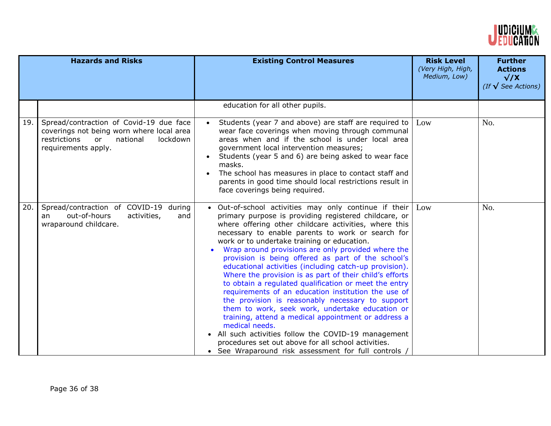

| <b>Hazards and Risks</b> |                                                                                                                                                                      | <b>Existing Control Measures</b>                                                                                                                                                                                                                                                                                                                                                                                                                                                                                                                                                                                                                                                                                                                                                                                                                                                                                                                                                    | <b>Risk Level</b><br>(Very High, High,<br>Medium, Low) | <b>Further</b><br><b>Actions</b><br>$\sqrt{X}$<br>(If $\sqrt{\ }$ See Actions) |
|--------------------------|----------------------------------------------------------------------------------------------------------------------------------------------------------------------|-------------------------------------------------------------------------------------------------------------------------------------------------------------------------------------------------------------------------------------------------------------------------------------------------------------------------------------------------------------------------------------------------------------------------------------------------------------------------------------------------------------------------------------------------------------------------------------------------------------------------------------------------------------------------------------------------------------------------------------------------------------------------------------------------------------------------------------------------------------------------------------------------------------------------------------------------------------------------------------|--------------------------------------------------------|--------------------------------------------------------------------------------|
|                          |                                                                                                                                                                      | education for all other pupils.                                                                                                                                                                                                                                                                                                                                                                                                                                                                                                                                                                                                                                                                                                                                                                                                                                                                                                                                                     |                                                        |                                                                                |
| 19.                      | Spread/contraction of Covid-19 due face<br>coverings not being worn where local area<br>restrictions<br>national<br><sub>or</sub><br>lockdown<br>requirements apply. | Students (year 7 and above) are staff are required to<br>wear face coverings when moving through communal<br>areas when and if the school is under local area<br>government local intervention measures;<br>Students (year 5 and 6) are being asked to wear face<br>masks.<br>The school has measures in place to contact staff and<br>parents in good time should local restrictions result in<br>face coverings being required.                                                                                                                                                                                                                                                                                                                                                                                                                                                                                                                                                   | Low                                                    | No.                                                                            |
| 20.                      | Spread/contraction of COVID-19 during<br>out-of-hours<br>activities,<br>and<br>an<br>wraparound childcare.                                                           | • Out-of-school activities may only continue if their<br>primary purpose is providing registered childcare, or<br>where offering other childcare activities, where this<br>necessary to enable parents to work or search for<br>work or to undertake training or education.<br>Wrap around provisions are only provided where the<br>provision is being offered as part of the school's<br>educational activities (including catch-up provision).<br>Where the provision is as part of their child's efforts<br>to obtain a regulated qualification or meet the entry<br>requirements of an education institution the use of<br>the provision is reasonably necessary to support<br>them to work, seek work, undertake education or<br>training, attend a medical appointment or address a<br>medical needs.<br>• All such activities follow the COVID-19 management<br>procedures set out above for all school activities.<br>• See Wraparound risk assessment for full controls / | Low                                                    | No.                                                                            |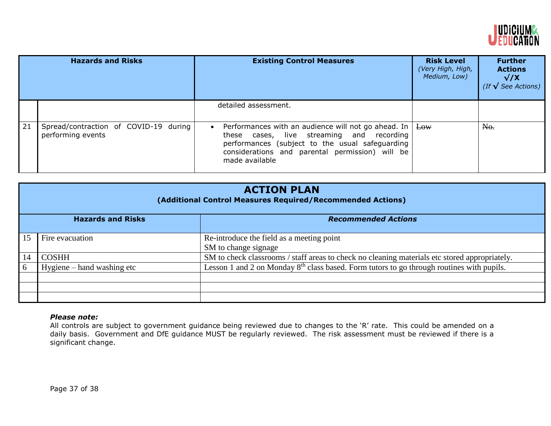

|    | <b>Hazards and Risks</b>                                   | <b>Existing Control Measures</b>                                                                                                                                                                                                                  | <b>Risk Level</b><br>(Very High, High,<br>Medium, Low) | <b>Further</b><br><b>Actions</b><br>$\sqrt{X}$<br>(If $\sqrt{\text{See}$ Actions) |
|----|------------------------------------------------------------|---------------------------------------------------------------------------------------------------------------------------------------------------------------------------------------------------------------------------------------------------|--------------------------------------------------------|-----------------------------------------------------------------------------------|
|    |                                                            | detailed assessment.                                                                                                                                                                                                                              |                                                        |                                                                                   |
| 21 | Spread/contraction of COVID-19 during<br>performing events | Performances with an audience will not go ahead. In $\vert$ Low<br>$\bullet$<br>these cases, live streaming and recording<br>performances (subject to the usual safeguarding<br>considerations and parental permission) will be<br>made available |                                                        | No.                                                                               |

|    | <b>ACTION PLAN</b><br>(Additional Control Measures Required/Recommended Actions) |                                                                                               |  |
|----|----------------------------------------------------------------------------------|-----------------------------------------------------------------------------------------------|--|
|    | <b>Hazards and Risks</b>                                                         | <b>Recommended Actions</b>                                                                    |  |
| 15 | Fire evacuation                                                                  | Re-introduce the field as a meeting point<br>SM to change signage                             |  |
| 14 | <b>COSHH</b>                                                                     | SM to check classrooms / staff areas to check no cleaning materials etc stored appropriately. |  |
| 6  | Hygiene – hand washing etc                                                       | Lesson 1 and 2 on Monday $8th$ class based. Form tutors to go through routines with pupils.   |  |
|    |                                                                                  |                                                                                               |  |
|    |                                                                                  |                                                                                               |  |

# *Please note:*

All controls are subject to government guidance being reviewed due to changes to the 'R' rate. This could be amended on a daily basis. Government and DfE guidance MUST be regularly reviewed. The risk assessment must be reviewed if there is a significant change.